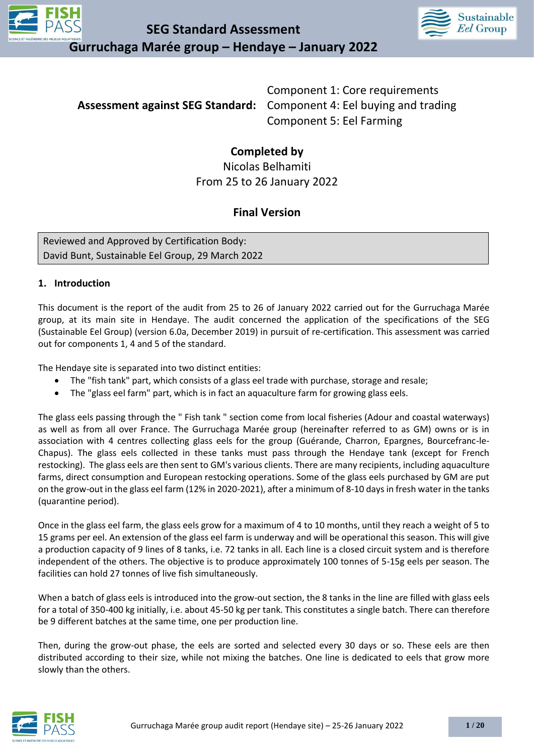

**SEG Standard Assessment Gurruchaga Marée group – Hendaye – January 2022**



**Assessment against SEG Standard:** Component 4: Eel buying and trading Component 1: Core requirements Component 5: Eel Farming

### **Completed by**

Nicolas Belhamiti From 25 to 26 January 2022

### **Final Version**

Reviewed and Approved by Certification Body: David Bunt, Sustainable Eel Group, 29 March 2022

### **1. Introduction**

This document is the report of the audit from 25 to 26 of January 2022 carried out for the Gurruchaga Marée group, at its main site in Hendaye. The audit concerned the application of the specifications of the SEG (Sustainable Eel Group) (version 6.0a, December 2019) in pursuit of re-certification. This assessment was carried out for components 1, 4 and 5 of the standard.

The Hendaye site is separated into two distinct entities:

- The "fish tank" part, which consists of a glass eel trade with purchase, storage and resale;
- The "glass eel farm" part, which is in fact an aquaculture farm for growing glass eels.

The glass eels passing through the " Fish tank " section come from local fisheries (Adour and coastal waterways) as well as from all over France. The Gurruchaga Marée group (hereinafter referred to as GM) owns or is in association with 4 centres collecting glass eels for the group (Guérande, Charron, Epargnes, Bourcefranc-le-Chapus). The glass eels collected in these tanks must pass through the Hendaye tank (except for French restocking). The glass eels are then sent to GM's various clients. There are many recipients, including aquaculture farms, direct consumption and European restocking operations. Some of the glass eels purchased by GM are put on the grow-out in the glass eel farm (12% in 2020-2021), after a minimum of 8-10 days in fresh water in the tanks (quarantine period).

Once in the glass eel farm, the glass eels grow for a maximum of 4 to 10 months, until they reach a weight of 5 to 15 grams per eel. An extension of the glass eel farm is underway and will be operational this season. This will give a production capacity of 9 lines of 8 tanks, i.e. 72 tanks in all. Each line is a closed circuit system and is therefore independent of the others. The objective is to produce approximately 100 tonnes of 5-15g eels per season. The facilities can hold 27 tonnes of live fish simultaneously.

When a batch of glass eels is introduced into the grow-out section, the 8 tanks in the line are filled with glass eels for a total of 350-400 kg initially, i.e. about 45-50 kg per tank. This constitutes a single batch. There can therefore be 9 different batches at the same time, one per production line.

Then, during the grow-out phase, the eels are sorted and selected every 30 days or so. These eels are then distributed according to their size, while not mixing the batches. One line is dedicated to eels that grow more slowly than the others.

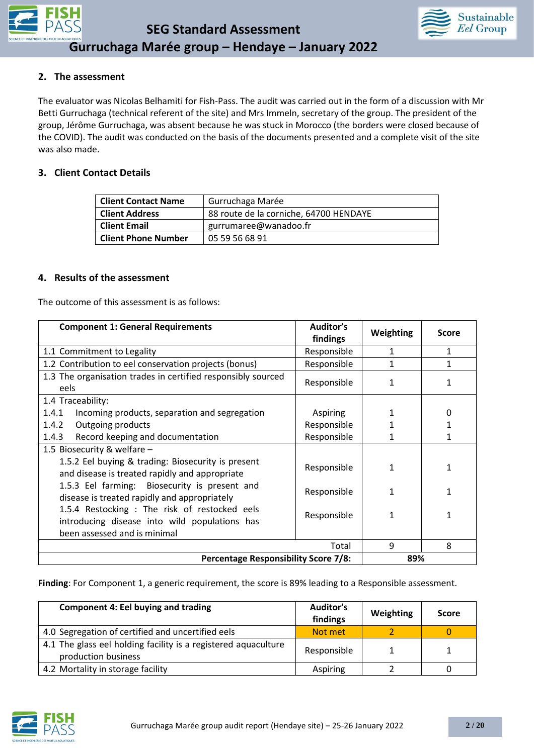



### **2. The assessment**

The evaluator was Nicolas Belhamiti for Fish-Pass. The audit was carried out in the form of a discussion with Mr Betti Gurruchaga (technical referent of the site) and Mrs Immeln, secretary of the group. The president of the group, Jérôme Gurruchaga, was absent because he was stuck in Morocco (the borders were closed because of the COVID). The audit was conducted on the basis of the documents presented and a complete visit of the site was also made.

### **3. Client Contact Details**

| <b>Client Contact Name</b> | Gurruchaga Marée                       |
|----------------------------|----------------------------------------|
| <b>Client Address</b>      | 88 route de la corniche, 64700 HENDAYE |
| <b>Client Email</b>        | gurrumaree@wanadoo.fr                  |
| <b>Client Phone Number</b> | 05 59 56 68 91                         |

#### **4. Results of the assessment**

The outcome of this assessment is as follows:

| <b>Component 1: General Requirements</b>                                                                                 | Auditor's<br>findings | Weighting    | <b>Score</b> |
|--------------------------------------------------------------------------------------------------------------------------|-----------------------|--------------|--------------|
| 1.1 Commitment to Legality                                                                                               | Responsible           | 1            | 1            |
| 1.2 Contribution to eel conservation projects (bonus)                                                                    | Responsible           | $\mathbf{1}$ | $\mathbf{1}$ |
| 1.3 The organisation trades in certified responsibly sourced<br>eels                                                     | Responsible           | 1            |              |
| 1.4 Traceability:                                                                                                        |                       |              |              |
| 1.4.1<br>Incoming products, separation and segregation                                                                   | <b>Aspiring</b>       | 1            | 0            |
| 1.4.2<br>Outgoing products                                                                                               | Responsible           |              |              |
| 1.4.3<br>Record keeping and documentation                                                                                | Responsible           |              |              |
| 1.5 Biosecurity & welfare -                                                                                              |                       |              |              |
| 1.5.2 Eel buying & trading: Biosecurity is present<br>Responsible<br>1<br>and disease is treated rapidly and appropriate |                       |              |              |
| 1.5.3 Eel farming: Biosecurity is present and<br>disease is treated rapidly and appropriately                            | Responsible           | 1            |              |
| 1.5.4 Restocking : The risk of restocked eels<br>Responsible<br>1<br>introducing disease into wild populations has       |                       |              |              |
| been assessed and is minimal                                                                                             |                       |              |              |
|                                                                                                                          | Total                 | 9            | 8            |
| <b>Percentage Responsibility Score 7/8:</b>                                                                              |                       | 89%          |              |

**Finding**: For Component 1, a generic requirement, the score is 89% leading to a Responsible assessment.

| <b>Component 4: Eel buying and trading</b>                                            | Auditor's<br>findings | Weighting | <b>Score</b> |
|---------------------------------------------------------------------------------------|-----------------------|-----------|--------------|
| 4.0 Segregation of certified and uncertified eels                                     | Not met               |           |              |
| 4.1 The glass eel holding facility is a registered aquaculture<br>production business | Responsible           |           |              |
| 4.2 Mortality in storage facility                                                     | Aspiring              |           |              |

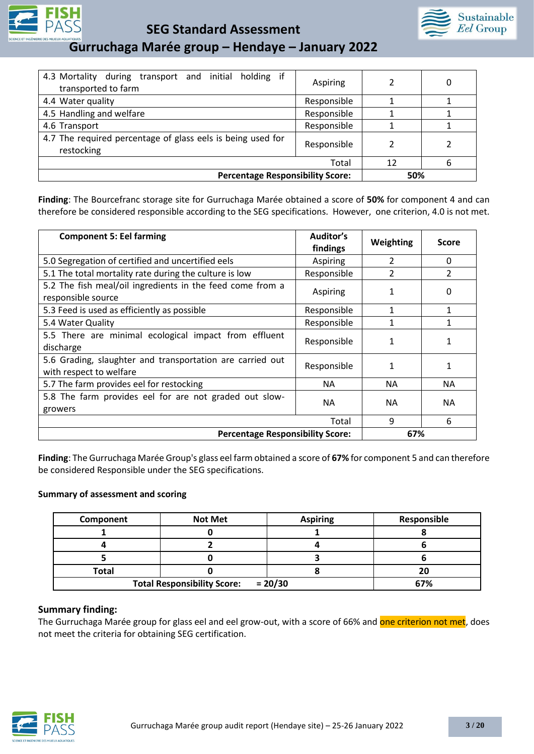

**SEG Standard Assessment** 



**Gurruchaga Marée group – Hendaye – January 2022**

| 4.3 Mortality during transport and initial holding if<br>transported to farm | Aspiring    |     | 0 |
|------------------------------------------------------------------------------|-------------|-----|---|
| 4.4 Water quality                                                            | Responsible |     |   |
| 4.5 Handling and welfare                                                     | Responsible |     |   |
| 4.6 Transport                                                                | Responsible |     |   |
| 4.7 The required percentage of glass eels is being used for<br>restocking    | Responsible |     |   |
|                                                                              | Total       | 12  | 6 |
| <b>Percentage Responsibility Score:</b>                                      |             | 50% |   |

**Finding**: The Bourcefranc storage site for Gurruchaga Marée obtained a score of **50%** for component 4 and can therefore be considered responsible according to the SEG specifications. However, one criterion, 4.0 is not met.

| <b>Component 5: Eel farming</b>                                                      | Auditor's<br>findings | Weighting      | Score          |
|--------------------------------------------------------------------------------------|-----------------------|----------------|----------------|
| 5.0 Segregation of certified and uncertified eels                                    | Aspiring              | $\mathfrak{p}$ | 0              |
| 5.1 The total mortality rate during the culture is low                               | Responsible           | $\mathfrak{p}$ | $\overline{2}$ |
| 5.2 The fish meal/oil ingredients in the feed come from a<br>responsible source      | Aspiring              |                | 0              |
| 5.3 Feed is used as efficiently as possible                                          | Responsible           | 1              | 1              |
| 5.4 Water Quality                                                                    | Responsible           | 1              |                |
| 5.5 There are minimal ecological impact from effluent<br>discharge                   | Responsible           | 1              |                |
| 5.6 Grading, slaughter and transportation are carried out<br>with respect to welfare | Responsible           | 1              | 1              |
| 5.7 The farm provides eel for restocking                                             | <b>NA</b>             | <b>NA</b>      | <b>NA</b>      |
| 5.8 The farm provides eel for are not graded out slow-<br>growers                    | <b>NA</b>             | <b>NA</b>      | <b>NA</b>      |
|                                                                                      | Total                 | 9              | 6              |
| <b>Percentage Responsibility Score:</b>                                              |                       | 67%            |                |

**Finding**: The Gurruchaga Marée Group's glass eel farm obtained a score of **67%** for component 5 and can therefore be considered Responsible under the SEG specifications.

#### **Summary of assessment and scoring**

| Component                                       | <b>Not Met</b> | <b>Aspiring</b> | Responsible |
|-------------------------------------------------|----------------|-----------------|-------------|
|                                                 |                |                 |             |
|                                                 |                |                 |             |
|                                                 |                |                 |             |
| <b>Total</b>                                    |                |                 | 20          |
| $= 20/30$<br><b>Total Responsibility Score:</b> |                | 67%             |             |

### **Summary finding:**

The Gurruchaga Marée group for glass eel and eel grow-out, with a score of 66% and one criterion not met, does not meet the criteria for obtaining SEG certification.

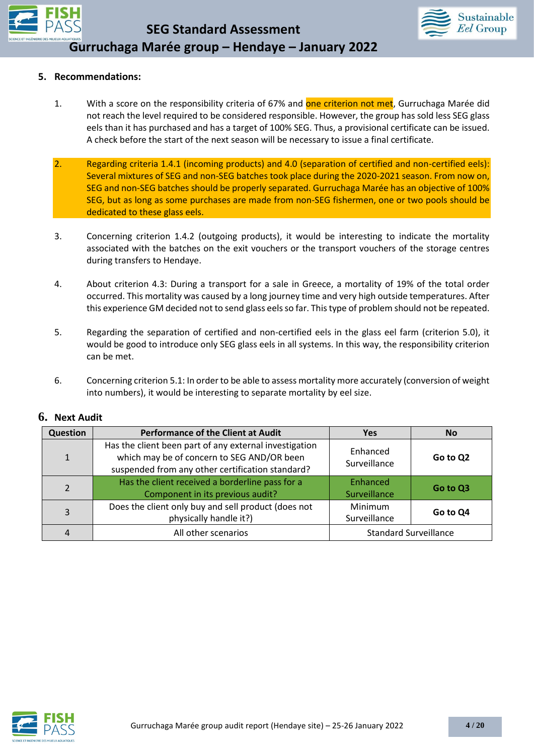



### **5. Recommendations:**

- 1. With a score on the responsibility criteria of 67% and one criterion not met, Gurruchaga Marée did not reach the level required to be considered responsible. However, the group has sold less SEG glass eels than it has purchased and has a target of 100% SEG. Thus, a provisional certificate can be issued. A check before the start of the next season will be necessary to issue a final certificate.
- 2. Regarding criteria 1.4.1 (incoming products) and 4.0 (separation of certified and non-certified eels): Several mixtures of SEG and non-SEG batches took place during the 2020-2021 season. From now on, SEG and non-SEG batches should be properly separated. Gurruchaga Marée has an objective of 100% SEG, but as long as some purchases are made from non-SEG fishermen, one or two pools should be dedicated to these glass eels.
- 3. Concerning criterion 1.4.2 (outgoing products), it would be interesting to indicate the mortality associated with the batches on the exit vouchers or the transport vouchers of the storage centres during transfers to Hendaye.
- 4. About criterion 4.3: During a transport for a sale in Greece, a mortality of 19% of the total order occurred. This mortality was caused by a long journey time and very high outside temperatures. After this experience GM decided not to send glass eels so far. This type of problem should not be repeated.
- 5. Regarding the separation of certified and non-certified eels in the glass eel farm (criterion 5.0), it would be good to introduce only SEG glass eels in all systems. In this way, the responsibility criterion can be met.
- 6. Concerning criterion 5.1: In order to be able to assess mortality more accurately (conversion of weight into numbers), it would be interesting to separate mortality by eel size.

| <b>Question</b> | <b>Performance of the Client at Audit</b>                                                                                                                | <b>Yes</b>                     | <b>No</b> |
|-----------------|----------------------------------------------------------------------------------------------------------------------------------------------------------|--------------------------------|-----------|
| $\mathbf{1}$    | Has the client been part of any external investigation<br>which may be of concern to SEG AND/OR been<br>suspended from any other certification standard? | Enhanced<br>Surveillance       | Go to Q2  |
| $\overline{2}$  | Has the client received a borderline pass for a<br>Component in its previous audit?                                                                      | Enhanced<br>Surveillance       | Go to Q3  |
| 3               | Does the client only buy and sell product (does not<br>physically handle it?)                                                                            | <b>Minimum</b><br>Surveillance | Go to Q4  |
| $\overline{4}$  | All other scenarios                                                                                                                                      | <b>Standard Surveillance</b>   |           |

### **6. Next Audit**

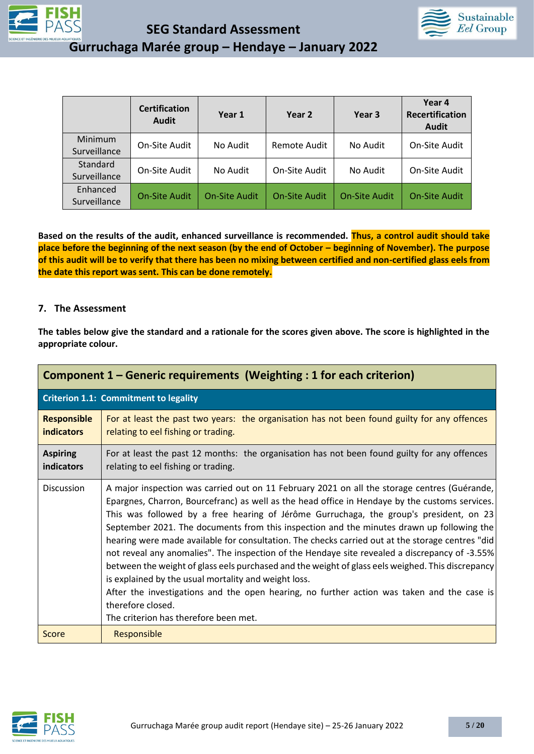



| <b>JATIOUES</b> | Gurruchaga Marée group - Hendaye - January 2022 |  |  |
|-----------------|-------------------------------------------------|--|--|
|                 |                                                 |  |  |

|                          | <b>Certification</b><br><b>Audit</b> | Year 1               | Year 2               | Year 3               | Year 4<br><b>Recertification</b><br><b>Audit</b> |
|--------------------------|--------------------------------------|----------------------|----------------------|----------------------|--------------------------------------------------|
| Minimum<br>Surveillance  | On-Site Audit                        | No Audit             | Remote Audit         | No Audit             | On-Site Audit                                    |
| Standard<br>Surveillance | On-Site Audit                        | No Audit             | On-Site Audit        | No Audit             | On-Site Audit                                    |
| Enhanced<br>Surveillance | <b>On-Site Audit</b>                 | <b>On-Site Audit</b> | <b>On-Site Audit</b> | <b>On-Site Audit</b> | On-Site Audit                                    |

**Based on the results of the audit, enhanced surveillance is recommended. Thus, a control audit should take place before the beginning of the next season (by the end of October – beginning of November). The purpose of this audit will be to verify that there has been no mixing between certified and non-certified glass eels from the date this report was sent. This can be done remotely.**

#### **7. The Assessment**

**The tables below give the standard and a rationale for the scores given above. The score is highlighted in the appropriate colour.**

|                                         | Component 1 – Generic requirements (Weighting : 1 for each criterion)                                                                                                                                                                                                                                                                                                                                                                                                                                                                                                                                                                                                                                                                                                                                                                                                                                                |
|-----------------------------------------|----------------------------------------------------------------------------------------------------------------------------------------------------------------------------------------------------------------------------------------------------------------------------------------------------------------------------------------------------------------------------------------------------------------------------------------------------------------------------------------------------------------------------------------------------------------------------------------------------------------------------------------------------------------------------------------------------------------------------------------------------------------------------------------------------------------------------------------------------------------------------------------------------------------------|
|                                         | <b>Criterion 1.1: Commitment to legality</b>                                                                                                                                                                                                                                                                                                                                                                                                                                                                                                                                                                                                                                                                                                                                                                                                                                                                         |
| <b>Responsible</b><br><b>indicators</b> | For at least the past two years: the organisation has not been found guilty for any offences<br>relating to eel fishing or trading.                                                                                                                                                                                                                                                                                                                                                                                                                                                                                                                                                                                                                                                                                                                                                                                  |
| <b>Aspiring</b><br>indicators           | For at least the past 12 months: the organisation has not been found guilty for any offences<br>relating to eel fishing or trading.                                                                                                                                                                                                                                                                                                                                                                                                                                                                                                                                                                                                                                                                                                                                                                                  |
| <b>Discussion</b>                       | A major inspection was carried out on 11 February 2021 on all the storage centres (Guérande,<br>Epargnes, Charron, Bourcefranc) as well as the head office in Hendaye by the customs services.<br>This was followed by a free hearing of Jérôme Gurruchaga, the group's president, on 23<br>September 2021. The documents from this inspection and the minutes drawn up following the<br>hearing were made available for consultation. The checks carried out at the storage centres "did<br>not reveal any anomalies". The inspection of the Hendaye site revealed a discrepancy of -3.55%<br>between the weight of glass eels purchased and the weight of glass eels weighed. This discrepancy<br>is explained by the usual mortality and weight loss.<br>After the investigations and the open hearing, no further action was taken and the case is<br>therefore closed.<br>The criterion has therefore been met. |
| Score                                   | Responsible                                                                                                                                                                                                                                                                                                                                                                                                                                                                                                                                                                                                                                                                                                                                                                                                                                                                                                          |

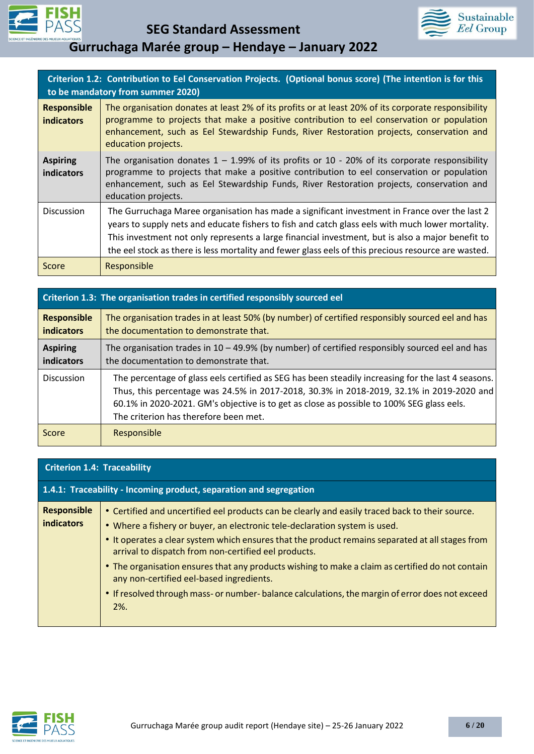



|                                         | Criterion 1.2: Contribution to Eel Conservation Projects. (Optional bonus score) (The intention is for this<br>to be mandatory from summer 2020)                                                                                                                                                                                                                                                             |
|-----------------------------------------|--------------------------------------------------------------------------------------------------------------------------------------------------------------------------------------------------------------------------------------------------------------------------------------------------------------------------------------------------------------------------------------------------------------|
| <b>Responsible</b><br><b>indicators</b> | The organisation donates at least 2% of its profits or at least 20% of its corporate responsibility<br>programme to projects that make a positive contribution to eel conservation or population<br>enhancement, such as Eel Stewardship Funds, River Restoration projects, conservation and<br>education projects.                                                                                          |
| <b>Aspiring</b><br>indicators           | The organisation donates $1 - 1.99\%$ of its profits or 10 - 20% of its corporate responsibility<br>programme to projects that make a positive contribution to eel conservation or population<br>enhancement, such as Eel Stewardship Funds, River Restoration projects, conservation and<br>education projects.                                                                                             |
| <b>Discussion</b>                       | The Gurruchaga Maree organisation has made a significant investment in France over the last 2<br>years to supply nets and educate fishers to fish and catch glass eels with much lower mortality.<br>This investment not only represents a large financial investment, but is also a major benefit to<br>the eel stock as there is less mortality and fewer glass eels of this precious resource are wasted. |
| Score                                   | Responsible                                                                                                                                                                                                                                                                                                                                                                                                  |

|                                         | Criterion 1.3: The organisation trades in certified responsibly sourced eel                                                                                                                                                                                                                                                          |
|-----------------------------------------|--------------------------------------------------------------------------------------------------------------------------------------------------------------------------------------------------------------------------------------------------------------------------------------------------------------------------------------|
| <b>Responsible</b><br><b>indicators</b> | The organisation trades in at least 50% (by number) of certified responsibly sourced eel and has<br>the documentation to demonstrate that.                                                                                                                                                                                           |
| <b>Aspiring</b><br><b>indicators</b>    | The organisation trades in $10 - 49.9\%$ (by number) of certified responsibly sourced eel and has<br>the documentation to demonstrate that.                                                                                                                                                                                          |
| <b>Discussion</b>                       | The percentage of glass eels certified as SEG has been steadily increasing for the last 4 seasons.<br>Thus, this percentage was 24.5% in 2017-2018, 30.3% in 2018-2019, 32.1% in 2019-2020 and<br>60.1% in 2020-2021. GM's objective is to get as close as possible to 100% SEG glass eels.<br>The criterion has therefore been met. |
| Score                                   | Responsible                                                                                                                                                                                                                                                                                                                          |

| <b>Criterion 1.4: Traceability</b>                                 |                                                                                                                                                                                                                                                                                                                                                                                                                                                                                                                                                                                                         |
|--------------------------------------------------------------------|---------------------------------------------------------------------------------------------------------------------------------------------------------------------------------------------------------------------------------------------------------------------------------------------------------------------------------------------------------------------------------------------------------------------------------------------------------------------------------------------------------------------------------------------------------------------------------------------------------|
| 1.4.1: Traceability - Incoming product, separation and segregation |                                                                                                                                                                                                                                                                                                                                                                                                                                                                                                                                                                                                         |
| <b>Responsible</b><br><b>indicators</b>                            | • Certified and uncertified eel products can be clearly and easily traced back to their source.<br>. Where a fishery or buyer, an electronic tele-declaration system is used.<br>• It operates a clear system which ensures that the product remains separated at all stages from<br>arrival to dispatch from non-certified eel products.<br>• The organisation ensures that any products wishing to make a claim as certified do not contain<br>any non-certified eel-based ingredients.<br>• If resolved through mass- or number-balance calculations, the margin of error does not exceed<br>$2\%$ . |

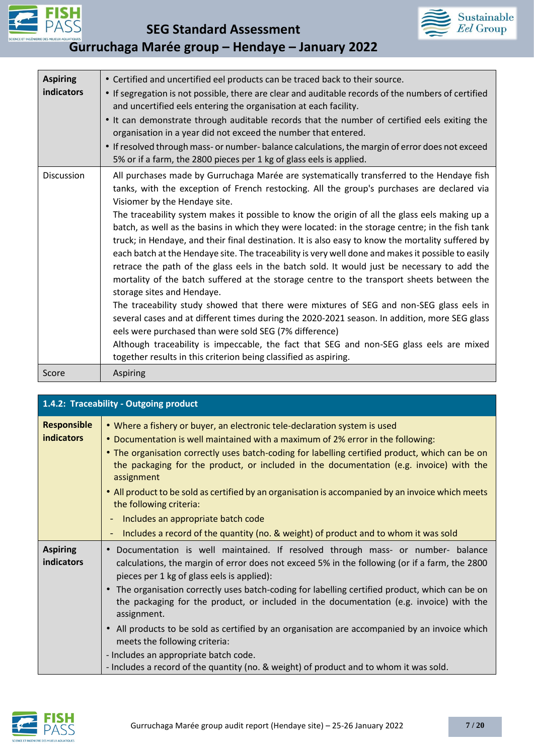



| <b>Aspiring</b><br><b>indicators</b> | • Certified and uncertified eel products can be traced back to their source.<br>• If segregation is not possible, there are clear and auditable records of the numbers of certified<br>and uncertified eels entering the organisation at each facility.<br>. It can demonstrate through auditable records that the number of certified eels exiting the<br>organisation in a year did not exceed the number that entered.<br>• If resolved through mass- or number-balance calculations, the margin of error does not exceed<br>5% or if a farm, the 2800 pieces per 1 kg of glass eels is applied.                                                                                                                                                                                                                                                                                                                                                                                                                                                                                                                                                                                                                                                                                      |
|--------------------------------------|------------------------------------------------------------------------------------------------------------------------------------------------------------------------------------------------------------------------------------------------------------------------------------------------------------------------------------------------------------------------------------------------------------------------------------------------------------------------------------------------------------------------------------------------------------------------------------------------------------------------------------------------------------------------------------------------------------------------------------------------------------------------------------------------------------------------------------------------------------------------------------------------------------------------------------------------------------------------------------------------------------------------------------------------------------------------------------------------------------------------------------------------------------------------------------------------------------------------------------------------------------------------------------------|
| <b>Discussion</b>                    | All purchases made by Gurruchaga Marée are systematically transferred to the Hendaye fish<br>tanks, with the exception of French restocking. All the group's purchases are declared via<br>Visiomer by the Hendaye site.<br>The traceability system makes it possible to know the origin of all the glass eels making up a<br>batch, as well as the basins in which they were located: in the storage centre; in the fish tank<br>truck; in Hendaye, and their final destination. It is also easy to know the mortality suffered by<br>each batch at the Hendaye site. The traceability is very well done and makes it possible to easily<br>retrace the path of the glass eels in the batch sold. It would just be necessary to add the<br>mortality of the batch suffered at the storage centre to the transport sheets between the<br>storage sites and Hendaye.<br>The traceability study showed that there were mixtures of SEG and non-SEG glass eels in<br>several cases and at different times during the 2020-2021 season. In addition, more SEG glass<br>eels were purchased than were sold SEG (7% difference)<br>Although traceability is impeccable, the fact that SEG and non-SEG glass eels are mixed<br>together results in this criterion being classified as aspiring. |
| Score                                | Aspiring                                                                                                                                                                                                                                                                                                                                                                                                                                                                                                                                                                                                                                                                                                                                                                                                                                                                                                                                                                                                                                                                                                                                                                                                                                                                                 |

|                                         | 1.4.2: Traceability - Outgoing product                                                                                                                                                                                                                                                                                                                                                                                                                                        |
|-----------------------------------------|-------------------------------------------------------------------------------------------------------------------------------------------------------------------------------------------------------------------------------------------------------------------------------------------------------------------------------------------------------------------------------------------------------------------------------------------------------------------------------|
| <b>Responsible</b><br><b>indicators</b> | • Where a fishery or buyer, an electronic tele-declaration system is used<br>• Documentation is well maintained with a maximum of 2% error in the following:<br>• The organisation correctly uses batch-coding for labelling certified product, which can be on<br>the packaging for the product, or included in the documentation (e.g. invoice) with the<br>assignment<br>. All product to be sold as certified by an organisation is accompanied by an invoice which meets |
|                                         | the following criteria:                                                                                                                                                                                                                                                                                                                                                                                                                                                       |
|                                         | Includes an appropriate batch code<br>$\blacksquare$                                                                                                                                                                                                                                                                                                                                                                                                                          |
|                                         | Includes a record of the quantity (no. & weight) of product and to whom it was sold                                                                                                                                                                                                                                                                                                                                                                                           |
| <b>Aspiring</b><br>indicators           | Documentation is well maintained. If resolved through mass- or number- balance<br>$\bullet$<br>calculations, the margin of error does not exceed 5% in the following (or if a farm, the 2800<br>pieces per 1 kg of glass eels is applied):                                                                                                                                                                                                                                    |
|                                         | The organisation correctly uses batch-coding for labelling certified product, which can be on<br>$\bullet$<br>the packaging for the product, or included in the documentation (e.g. invoice) with the<br>assignment.                                                                                                                                                                                                                                                          |
|                                         | All products to be sold as certified by an organisation are accompanied by an invoice which<br>$\bullet$<br>meets the following criteria:                                                                                                                                                                                                                                                                                                                                     |
|                                         | - Includes an appropriate batch code.                                                                                                                                                                                                                                                                                                                                                                                                                                         |
|                                         | - Includes a record of the quantity (no. & weight) of product and to whom it was sold.                                                                                                                                                                                                                                                                                                                                                                                        |

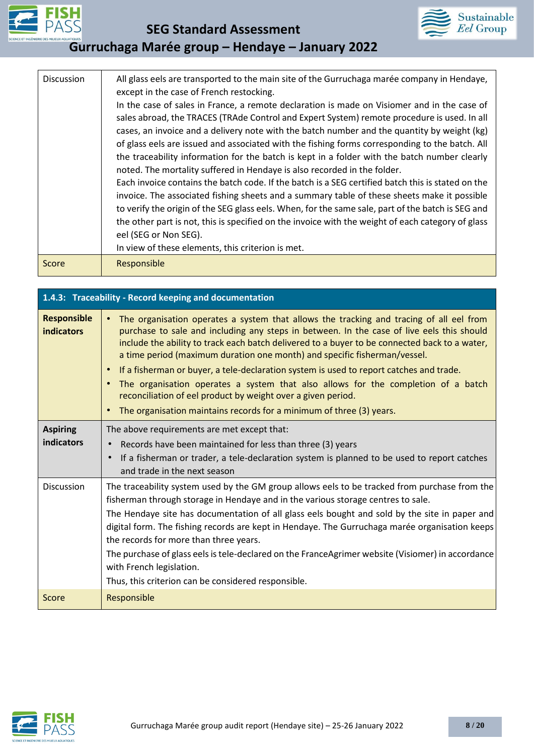



| Discussion | All glass eels are transported to the main site of the Gurruchaga marée company in Hendaye,<br>except in the case of French restocking.<br>In the case of sales in France, a remote declaration is made on Visiomer and in the case of<br>sales abroad, the TRACES (TRAde Control and Expert System) remote procedure is used. In all<br>cases, an invoice and a delivery note with the batch number and the quantity by weight (kg)<br>of glass eels are issued and associated with the fishing forms corresponding to the batch. All<br>the traceability information for the batch is kept in a folder with the batch number clearly<br>noted. The mortality suffered in Hendaye is also recorded in the folder.<br>Each invoice contains the batch code. If the batch is a SEG certified batch this is stated on the<br>invoice. The associated fishing sheets and a summary table of these sheets make it possible<br>to verify the origin of the SEG glass eels. When, for the same sale, part of the batch is SEG and<br>the other part is not, this is specified on the invoice with the weight of each category of glass<br>eel (SEG or Non SEG).<br>In view of these elements, this criterion is met. |
|------------|----------------------------------------------------------------------------------------------------------------------------------------------------------------------------------------------------------------------------------------------------------------------------------------------------------------------------------------------------------------------------------------------------------------------------------------------------------------------------------------------------------------------------------------------------------------------------------------------------------------------------------------------------------------------------------------------------------------------------------------------------------------------------------------------------------------------------------------------------------------------------------------------------------------------------------------------------------------------------------------------------------------------------------------------------------------------------------------------------------------------------------------------------------------------------------------------------------------|
| Score      | Responsible                                                                                                                                                                                                                                                                                                                                                                                                                                                                                                                                                                                                                                                                                                                                                                                                                                                                                                                                                                                                                                                                                                                                                                                                    |

| 1.4.3: Traceability - Record keeping and documentation |                                                                                                                                                                                                                                                                                                                                                                                                                                                                                                                                                                                                                                                                                                                                                |  |
|--------------------------------------------------------|------------------------------------------------------------------------------------------------------------------------------------------------------------------------------------------------------------------------------------------------------------------------------------------------------------------------------------------------------------------------------------------------------------------------------------------------------------------------------------------------------------------------------------------------------------------------------------------------------------------------------------------------------------------------------------------------------------------------------------------------|--|
| <b>Responsible</b><br><b>indicators</b>                | The organisation operates a system that allows the tracking and tracing of all eel from<br>$\bullet$<br>purchase to sale and including any steps in between. In the case of live eels this should<br>include the ability to track each batch delivered to a buyer to be connected back to a water,<br>a time period (maximum duration one month) and specific fisherman/vessel.<br>If a fisherman or buyer, a tele-declaration system is used to report catches and trade.<br>$\bullet$<br>The organisation operates a system that also allows for the completion of a batch<br>$\bullet$<br>reconciliation of eel product by weight over a given period.<br>The organisation maintains records for a minimum of three (3) years.<br>$\bullet$ |  |
| <b>Aspiring</b><br>indicators                          | The above requirements are met except that:<br>Records have been maintained for less than three (3) years<br>If a fisherman or trader, a tele-declaration system is planned to be used to report catches<br>and trade in the next season                                                                                                                                                                                                                                                                                                                                                                                                                                                                                                       |  |
| <b>Discussion</b>                                      | The traceability system used by the GM group allows eels to be tracked from purchase from the<br>fisherman through storage in Hendaye and in the various storage centres to sale.<br>The Hendaye site has documentation of all glass eels bought and sold by the site in paper and<br>digital form. The fishing records are kept in Hendaye. The Gurruchaga marée organisation keeps<br>the records for more than three years.<br>The purchase of glass eels is tele-declared on the FranceAgrimer website (Visiomer) in accordance<br>with French legislation.<br>Thus, this criterion can be considered responsible.                                                                                                                         |  |
| Score                                                  | Responsible                                                                                                                                                                                                                                                                                                                                                                                                                                                                                                                                                                                                                                                                                                                                    |  |

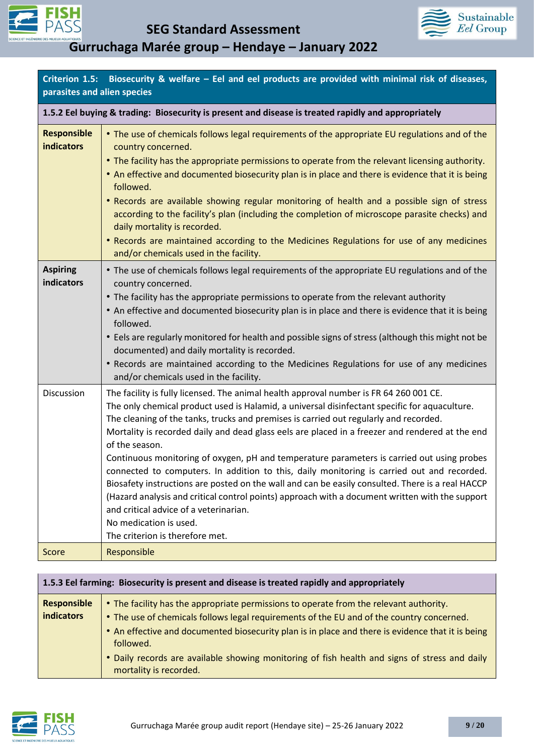



| parasites and alien species                                                                         | Criterion 1.5: Biosecurity & welfare – Eel and eel products are provided with minimal risk of diseases,                                                                                                                                                                                                                                                                                                                                                                                                                                                                                                                                                                                                                                                                                                                                                                                                         |  |
|-----------------------------------------------------------------------------------------------------|-----------------------------------------------------------------------------------------------------------------------------------------------------------------------------------------------------------------------------------------------------------------------------------------------------------------------------------------------------------------------------------------------------------------------------------------------------------------------------------------------------------------------------------------------------------------------------------------------------------------------------------------------------------------------------------------------------------------------------------------------------------------------------------------------------------------------------------------------------------------------------------------------------------------|--|
| 1.5.2 Eel buying & trading: Biosecurity is present and disease is treated rapidly and appropriately |                                                                                                                                                                                                                                                                                                                                                                                                                                                                                                                                                                                                                                                                                                                                                                                                                                                                                                                 |  |
| <b>Responsible</b><br><b>indicators</b>                                                             | • The use of chemicals follows legal requirements of the appropriate EU regulations and of the<br>country concerned.<br>• The facility has the appropriate permissions to operate from the relevant licensing authority.<br>. An effective and documented biosecurity plan is in place and there is evidence that it is being<br>followed.<br>• Records are available showing regular monitoring of health and a possible sign of stress<br>according to the facility's plan (including the completion of microscope parasite checks) and<br>daily mortality is recorded.<br>• Records are maintained according to the Medicines Regulations for use of any medicines<br>and/or chemicals used in the facility.                                                                                                                                                                                                 |  |
| <b>Aspiring</b><br>indicators                                                                       | • The use of chemicals follows legal requirements of the appropriate EU regulations and of the<br>country concerned.<br>• The facility has the appropriate permissions to operate from the relevant authority<br>• An effective and documented biosecurity plan is in place and there is evidence that it is being<br>followed.<br>• Eels are regularly monitored for health and possible signs of stress (although this might not be<br>documented) and daily mortality is recorded.<br>• Records are maintained according to the Medicines Regulations for use of any medicines<br>and/or chemicals used in the facility.                                                                                                                                                                                                                                                                                     |  |
| Discussion                                                                                          | The facility is fully licensed. The animal health approval number is FR 64 260 001 CE.<br>The only chemical product used is Halamid, a universal disinfectant specific for aquaculture.<br>The cleaning of the tanks, trucks and premises is carried out regularly and recorded.<br>Mortality is recorded daily and dead glass eels are placed in a freezer and rendered at the end<br>of the season.<br>Continuous monitoring of oxygen, pH and temperature parameters is carried out using probes<br>connected to computers. In addition to this, daily monitoring is carried out and recorded.<br>Biosafety instructions are posted on the wall and can be easily consulted. There is a real HACCP<br>(Hazard analysis and critical control points) approach with a document written with the support<br>and critical advice of a veterinarian.<br>No medication is used.<br>The criterion is therefore met. |  |
| Score                                                                                               | Responsible                                                                                                                                                                                                                                                                                                                                                                                                                                                                                                                                                                                                                                                                                                                                                                                                                                                                                                     |  |

| 1.5.3 Eel farming: Biosecurity is present and disease is treated rapidly and appropriately |                                                                                                                         |
|--------------------------------------------------------------------------------------------|-------------------------------------------------------------------------------------------------------------------------|
| <b>Responsible</b>                                                                         | • The facility has the appropriate permissions to operate from the relevant authority.                                  |
| indicators                                                                                 | • The use of chemicals follows legal requirements of the EU and of the country concerned.                               |
|                                                                                            | • An effective and documented biosecurity plan is in place and there is evidence that it is being<br>followed.          |
|                                                                                            | • Daily records are available showing monitoring of fish health and signs of stress and daily<br>mortality is recorded. |

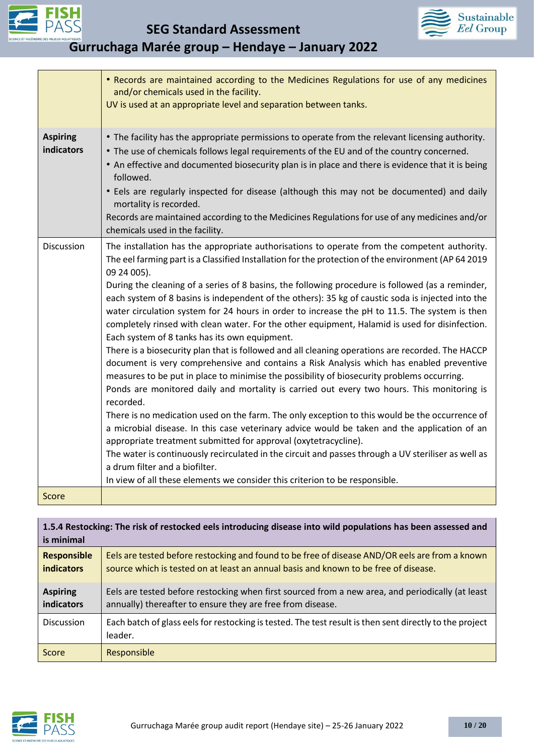



| . | Gurruchaga Marée group - Hendaye - January 2022 |  |  |
|---|-------------------------------------------------|--|--|
|   |                                                 |  |  |

|                               | • Records are maintained according to the Medicines Regulations for use of any medicines<br>and/or chemicals used in the facility.<br>UV is used at an appropriate level and separation between tanks.                                                                                                                                                                                                                                                                                                                                                                                                                                                                                                                                                                                                                                                                                                                                                                                                                                                                                                                                                                                                                                                                                                                                                                                                                                                                                                                                                                                |
|-------------------------------|---------------------------------------------------------------------------------------------------------------------------------------------------------------------------------------------------------------------------------------------------------------------------------------------------------------------------------------------------------------------------------------------------------------------------------------------------------------------------------------------------------------------------------------------------------------------------------------------------------------------------------------------------------------------------------------------------------------------------------------------------------------------------------------------------------------------------------------------------------------------------------------------------------------------------------------------------------------------------------------------------------------------------------------------------------------------------------------------------------------------------------------------------------------------------------------------------------------------------------------------------------------------------------------------------------------------------------------------------------------------------------------------------------------------------------------------------------------------------------------------------------------------------------------------------------------------------------------|
| <b>Aspiring</b><br>indicators | • The facility has the appropriate permissions to operate from the relevant licensing authority.<br>• The use of chemicals follows legal requirements of the EU and of the country concerned.<br>• An effective and documented biosecurity plan is in place and there is evidence that it is being<br>followed.<br>• Eels are regularly inspected for disease (although this may not be documented) and daily<br>mortality is recorded.<br>Records are maintained according to the Medicines Regulations for use of any medicines and/or<br>chemicals used in the facility.                                                                                                                                                                                                                                                                                                                                                                                                                                                                                                                                                                                                                                                                                                                                                                                                                                                                                                                                                                                                           |
| Discussion                    | The installation has the appropriate authorisations to operate from the competent authority.<br>The eel farming part is a Classified Installation for the protection of the environment (AP 64 2019<br>09 24 005).<br>During the cleaning of a series of 8 basins, the following procedure is followed (as a reminder,<br>each system of 8 basins is independent of the others): 35 kg of caustic soda is injected into the<br>water circulation system for 24 hours in order to increase the pH to 11.5. The system is then<br>completely rinsed with clean water. For the other equipment, Halamid is used for disinfection.<br>Each system of 8 tanks has its own equipment.<br>There is a biosecurity plan that is followed and all cleaning operations are recorded. The HACCP<br>document is very comprehensive and contains a Risk Analysis which has enabled preventive<br>measures to be put in place to minimise the possibility of biosecurity problems occurring.<br>Ponds are monitored daily and mortality is carried out every two hours. This monitoring is<br>recorded.<br>There is no medication used on the farm. The only exception to this would be the occurrence of<br>a microbial disease. In this case veterinary advice would be taken and the application of an<br>appropriate treatment submitted for approval (oxytetracycline).<br>The water is continuously recirculated in the circuit and passes through a UV steriliser as well as<br>a drum filter and a biofilter.<br>In view of all these elements we consider this criterion to be responsible. |
| Score                         |                                                                                                                                                                                                                                                                                                                                                                                                                                                                                                                                                                                                                                                                                                                                                                                                                                                                                                                                                                                                                                                                                                                                                                                                                                                                                                                                                                                                                                                                                                                                                                                       |
|                               | 1 E A Doctocking: The rick of restacked eals introducing disease into wild nonulations has been assessed and                                                                                                                                                                                                                                                                                                                                                                                                                                                                                                                                                                                                                                                                                                                                                                                                                                                                                                                                                                                                                                                                                                                                                                                                                                                                                                                                                                                                                                                                          |

| 1.5.4 Restocking: The risk of restocked eels introducing disease into wild populations has been assessed and<br>is minimal |                                                                                                                                                                                       |  |
|----------------------------------------------------------------------------------------------------------------------------|---------------------------------------------------------------------------------------------------------------------------------------------------------------------------------------|--|
| <b>Responsible</b><br><b>indicators</b>                                                                                    | Eels are tested before restocking and found to be free of disease AND/OR eels are from a known<br>source which is tested on at least an annual basis and known to be free of disease. |  |
| <b>Aspiring</b><br>indicators                                                                                              | Eels are tested before restocking when first sourced from a new area, and periodically (at least<br>annually) thereafter to ensure they are free from disease.                        |  |
| Discussion                                                                                                                 | Each batch of glass eels for restocking is tested. The test result is then sent directly to the project<br>leader.                                                                    |  |
| Score                                                                                                                      | Responsible                                                                                                                                                                           |  |

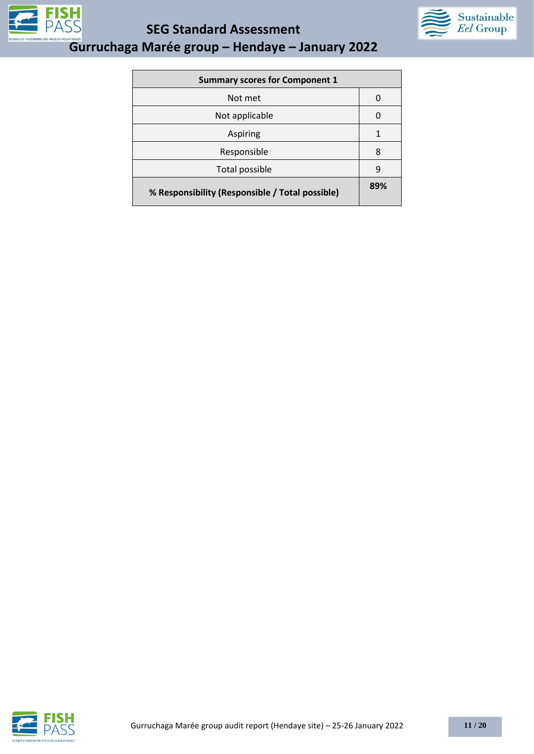

**SEG Standard Assessment** 



| <b>Summary scores for Component 1</b>           |     |
|-------------------------------------------------|-----|
| Not met                                         | O   |
| Not applicable                                  | 0   |
| Aspiring                                        | 1   |
| Responsible                                     | 8   |
| Total possible                                  | q   |
| % Responsibility (Responsible / Total possible) | 89% |

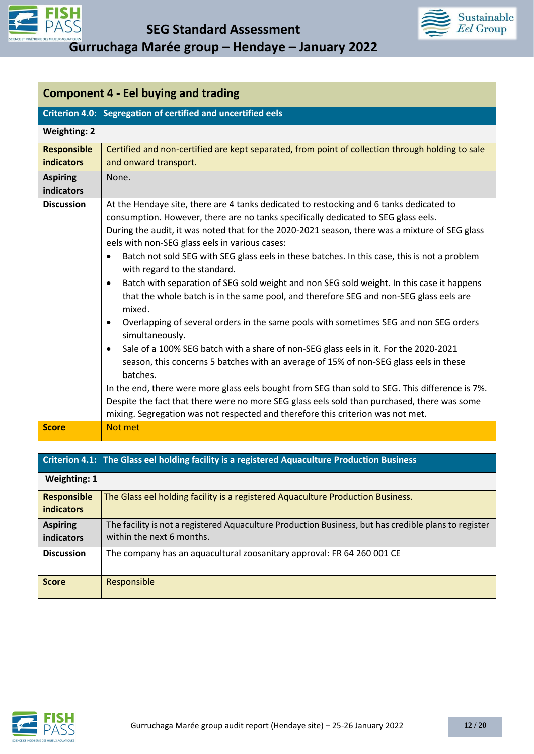



| <b>Component 4 - Eel buying and trading</b> |                                                                                                                                                                                                                                                                                                                                                                                                                                                                                                                                                                                                                                                                                                                                                                                                                                                                                                                                                                                                                                                                                                                                                                                                                                                                                                                      |
|---------------------------------------------|----------------------------------------------------------------------------------------------------------------------------------------------------------------------------------------------------------------------------------------------------------------------------------------------------------------------------------------------------------------------------------------------------------------------------------------------------------------------------------------------------------------------------------------------------------------------------------------------------------------------------------------------------------------------------------------------------------------------------------------------------------------------------------------------------------------------------------------------------------------------------------------------------------------------------------------------------------------------------------------------------------------------------------------------------------------------------------------------------------------------------------------------------------------------------------------------------------------------------------------------------------------------------------------------------------------------|
|                                             | Criterion 4.0: Segregation of certified and uncertified eels                                                                                                                                                                                                                                                                                                                                                                                                                                                                                                                                                                                                                                                                                                                                                                                                                                                                                                                                                                                                                                                                                                                                                                                                                                                         |
| <b>Weighting: 2</b>                         |                                                                                                                                                                                                                                                                                                                                                                                                                                                                                                                                                                                                                                                                                                                                                                                                                                                                                                                                                                                                                                                                                                                                                                                                                                                                                                                      |
| <b>Responsible</b><br><b>indicators</b>     | Certified and non-certified are kept separated, from point of collection through holding to sale<br>and onward transport.                                                                                                                                                                                                                                                                                                                                                                                                                                                                                                                                                                                                                                                                                                                                                                                                                                                                                                                                                                                                                                                                                                                                                                                            |
| <b>Aspiring</b><br>indicators               | None.                                                                                                                                                                                                                                                                                                                                                                                                                                                                                                                                                                                                                                                                                                                                                                                                                                                                                                                                                                                                                                                                                                                                                                                                                                                                                                                |
| <b>Discussion</b>                           | At the Hendaye site, there are 4 tanks dedicated to restocking and 6 tanks dedicated to<br>consumption. However, there are no tanks specifically dedicated to SEG glass eels.<br>During the audit, it was noted that for the 2020-2021 season, there was a mixture of SEG glass<br>eels with non-SEG glass eels in various cases:<br>Batch not sold SEG with SEG glass eels in these batches. In this case, this is not a problem<br>$\bullet$<br>with regard to the standard.<br>Batch with separation of SEG sold weight and non SEG sold weight. In this case it happens<br>$\bullet$<br>that the whole batch is in the same pool, and therefore SEG and non-SEG glass eels are<br>mixed.<br>Overlapping of several orders in the same pools with sometimes SEG and non SEG orders<br>$\bullet$<br>simultaneously.<br>Sale of a 100% SEG batch with a share of non-SEG glass eels in it. For the 2020-2021<br>$\bullet$<br>season, this concerns 5 batches with an average of 15% of non-SEG glass eels in these<br>batches.<br>In the end, there were more glass eels bought from SEG than sold to SEG. This difference is 7%.<br>Despite the fact that there were no more SEG glass eels sold than purchased, there was some<br>mixing. Segregation was not respected and therefore this criterion was not met. |
| <b>Score</b>                                | Not met                                                                                                                                                                                                                                                                                                                                                                                                                                                                                                                                                                                                                                                                                                                                                                                                                                                                                                                                                                                                                                                                                                                                                                                                                                                                                                              |

### **Criterion 4.1: The Glass eel holding facility is a registered Aquaculture Production Business Weighting: 1 Responsible indicators** The Glass eel holding facility is a registered Aquaculture Production Business. **Aspiring indicators** The facility is not a registered Aquaculture Production Business, but has credible plans to register within the next 6 months. **Discussion** The company has an aquacultural zoosanitary approval: FR 64 260 001 CE **Score** Responsible

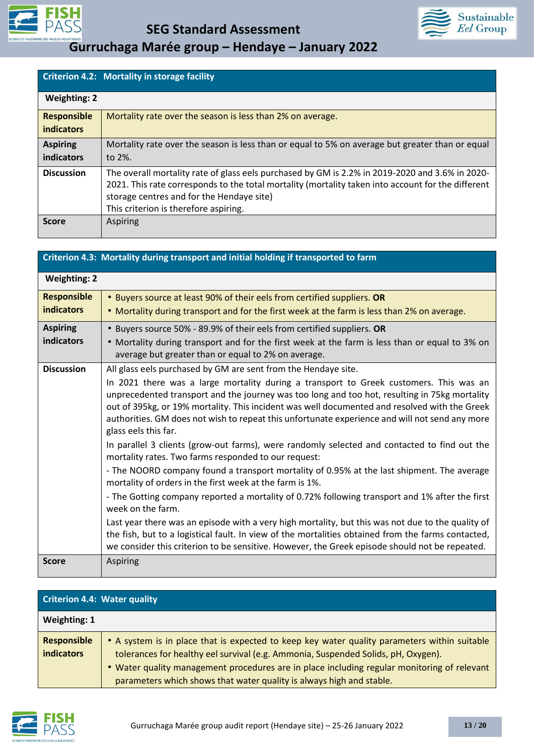



|                                         | Criterion 4.2: Mortality in storage facility                                                                                                                                                                                                                                                |
|-----------------------------------------|---------------------------------------------------------------------------------------------------------------------------------------------------------------------------------------------------------------------------------------------------------------------------------------------|
| <b>Weighting: 2</b>                     |                                                                                                                                                                                                                                                                                             |
| <b>Responsible</b><br><b>indicators</b> | Mortality rate over the season is less than 2% on average.                                                                                                                                                                                                                                  |
| <b>Aspiring</b><br>indicators           | Mortality rate over the season is less than or equal to 5% on average but greater than or equal<br>to 2%.                                                                                                                                                                                   |
| <b>Discussion</b>                       | The overall mortality rate of glass eels purchased by GM is 2.2% in 2019-2020 and 3.6% in 2020-<br>2021. This rate corresponds to the total mortality (mortality taken into account for the different<br>storage centres and for the Hendaye site)<br>This criterion is therefore aspiring. |
| <b>Score</b>                            | Aspiring                                                                                                                                                                                                                                                                                    |

| Criterion 4.3: Mortality during transport and initial holding if transported to farm |                                                                                                                                                                                                                                                                                                                                                                                                                    |
|--------------------------------------------------------------------------------------|--------------------------------------------------------------------------------------------------------------------------------------------------------------------------------------------------------------------------------------------------------------------------------------------------------------------------------------------------------------------------------------------------------------------|
| <b>Weighting: 2</b>                                                                  |                                                                                                                                                                                                                                                                                                                                                                                                                    |
| <b>Responsible</b>                                                                   | • Buyers source at least 90% of their eels from certified suppliers. OR                                                                                                                                                                                                                                                                                                                                            |
| <b>indicators</b>                                                                    | . Mortality during transport and for the first week at the farm is less than 2% on average.                                                                                                                                                                                                                                                                                                                        |
| <b>Aspiring</b>                                                                      | • Buyers source 50% - 89.9% of their eels from certified suppliers. OR                                                                                                                                                                                                                                                                                                                                             |
| indicators                                                                           | • Mortality during transport and for the first week at the farm is less than or equal to 3% on<br>average but greater than or equal to 2% on average.                                                                                                                                                                                                                                                              |
| <b>Discussion</b>                                                                    | All glass eels purchased by GM are sent from the Hendaye site.                                                                                                                                                                                                                                                                                                                                                     |
|                                                                                      | In 2021 there was a large mortality during a transport to Greek customers. This was an<br>unprecedented transport and the journey was too long and too hot, resulting in 75kg mortality<br>out of 395kg, or 19% mortality. This incident was well documented and resolved with the Greek<br>authorities. GM does not wish to repeat this unfortunate experience and will not send any more<br>glass eels this far. |
|                                                                                      | In parallel 3 clients (grow-out farms), were randomly selected and contacted to find out the<br>mortality rates. Two farms responded to our request:                                                                                                                                                                                                                                                               |
|                                                                                      | - The NOORD company found a transport mortality of 0.95% at the last shipment. The average<br>mortality of orders in the first week at the farm is 1%.                                                                                                                                                                                                                                                             |
|                                                                                      | - The Gotting company reported a mortality of 0.72% following transport and 1% after the first<br>week on the farm.                                                                                                                                                                                                                                                                                                |
|                                                                                      | Last year there was an episode with a very high mortality, but this was not due to the quality of<br>the fish, but to a logistical fault. In view of the mortalities obtained from the farms contacted,<br>we consider this criterion to be sensitive. However, the Greek episode should not be repeated.                                                                                                          |
| <b>Score</b>                                                                         | Aspiring                                                                                                                                                                                                                                                                                                                                                                                                           |

| <b>Criterion 4.4: Water quality</b>     |                                                                                                                                                                                                                                                                                                                                                          |
|-----------------------------------------|----------------------------------------------------------------------------------------------------------------------------------------------------------------------------------------------------------------------------------------------------------------------------------------------------------------------------------------------------------|
| Weighting: 1                            |                                                                                                                                                                                                                                                                                                                                                          |
| <b>Responsible</b><br><b>indicators</b> | • A system is in place that is expected to keep key water quality parameters within suitable<br>tolerances for healthy eel survival (e.g. Ammonia, Suspended Solids, pH, Oxygen).<br>. Water quality management procedures are in place including regular monitoring of relevant<br>parameters which shows that water quality is always high and stable. |

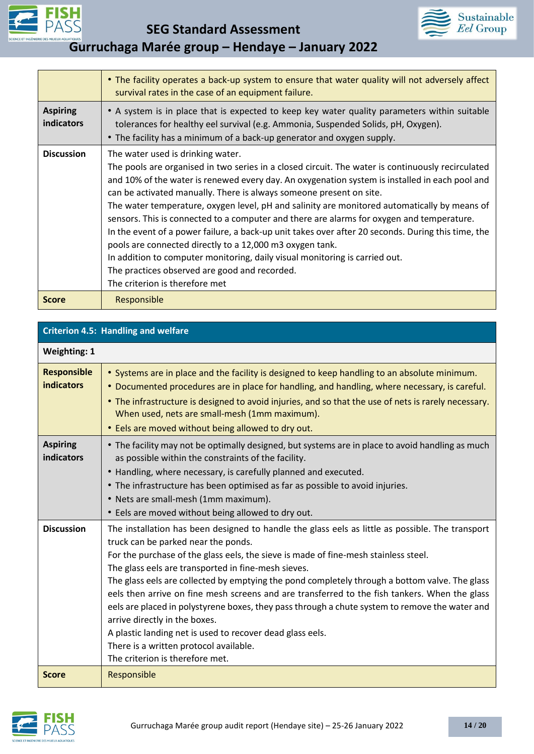



|                                      | • The facility operates a back-up system to ensure that water quality will not adversely affect<br>survival rates in the case of an equipment failure.                                                                                                                                                                                                                                                                                                                                                                                                                                                                                                                                                                                                                                                                                           |
|--------------------------------------|--------------------------------------------------------------------------------------------------------------------------------------------------------------------------------------------------------------------------------------------------------------------------------------------------------------------------------------------------------------------------------------------------------------------------------------------------------------------------------------------------------------------------------------------------------------------------------------------------------------------------------------------------------------------------------------------------------------------------------------------------------------------------------------------------------------------------------------------------|
| <b>Aspiring</b><br><b>indicators</b> | • A system is in place that is expected to keep key water quality parameters within suitable<br>tolerances for healthy eel survival (e.g. Ammonia, Suspended Solids, pH, Oxygen).<br>• The facility has a minimum of a back-up generator and oxygen supply.                                                                                                                                                                                                                                                                                                                                                                                                                                                                                                                                                                                      |
| <b>Discussion</b>                    | The water used is drinking water.<br>The pools are organised in two series in a closed circuit. The water is continuously recirculated<br>and 10% of the water is renewed every day. An oxygenation system is installed in each pool and<br>can be activated manually. There is always someone present on site.<br>The water temperature, oxygen level, pH and salinity are monitored automatically by means of<br>sensors. This is connected to a computer and there are alarms for oxygen and temperature.<br>In the event of a power failure, a back-up unit takes over after 20 seconds. During this time, the<br>pools are connected directly to a 12,000 m3 oxygen tank.<br>In addition to computer monitoring, daily visual monitoring is carried out.<br>The practices observed are good and recorded.<br>The criterion is therefore met |
| <b>Score</b>                         | Responsible                                                                                                                                                                                                                                                                                                                                                                                                                                                                                                                                                                                                                                                                                                                                                                                                                                      |

| <b>Criterion 4.5: Handling and welfare</b> |                                                                                                                                                                                                                                                                                                                                                                                                                                                                                                                                                                                                                                                                                                                                                                       |
|--------------------------------------------|-----------------------------------------------------------------------------------------------------------------------------------------------------------------------------------------------------------------------------------------------------------------------------------------------------------------------------------------------------------------------------------------------------------------------------------------------------------------------------------------------------------------------------------------------------------------------------------------------------------------------------------------------------------------------------------------------------------------------------------------------------------------------|
| <b>Weighting: 1</b>                        |                                                                                                                                                                                                                                                                                                                                                                                                                                                                                                                                                                                                                                                                                                                                                                       |
| <b>Responsible</b><br><b>indicators</b>    | • Systems are in place and the facility is designed to keep handling to an absolute minimum.<br>• Documented procedures are in place for handling, and handling, where necessary, is careful.<br>• The infrastructure is designed to avoid injuries, and so that the use of nets is rarely necessary.<br>When used, nets are small-mesh (1mm maximum).<br>• Eels are moved without being allowed to dry out.                                                                                                                                                                                                                                                                                                                                                          |
| <b>Aspiring</b><br><b>indicators</b>       | • The facility may not be optimally designed, but systems are in place to avoid handling as much<br>as possible within the constraints of the facility.<br>• Handling, where necessary, is carefully planned and executed.<br>• The infrastructure has been optimised as far as possible to avoid injuries.<br>• Nets are small-mesh (1mm maximum).<br>• Eels are moved without being allowed to dry out.                                                                                                                                                                                                                                                                                                                                                             |
| <b>Discussion</b>                          | The installation has been designed to handle the glass eels as little as possible. The transport<br>truck can be parked near the ponds.<br>For the purchase of the glass eels, the sieve is made of fine-mesh stainless steel.<br>The glass eels are transported in fine-mesh sieves.<br>The glass eels are collected by emptying the pond completely through a bottom valve. The glass<br>eels then arrive on fine mesh screens and are transferred to the fish tankers. When the glass<br>eels are placed in polystyrene boxes, they pass through a chute system to remove the water and<br>arrive directly in the boxes.<br>A plastic landing net is used to recover dead glass eels.<br>There is a written protocol available.<br>The criterion is therefore met. |
| <b>Score</b>                               | Responsible                                                                                                                                                                                                                                                                                                                                                                                                                                                                                                                                                                                                                                                                                                                                                           |

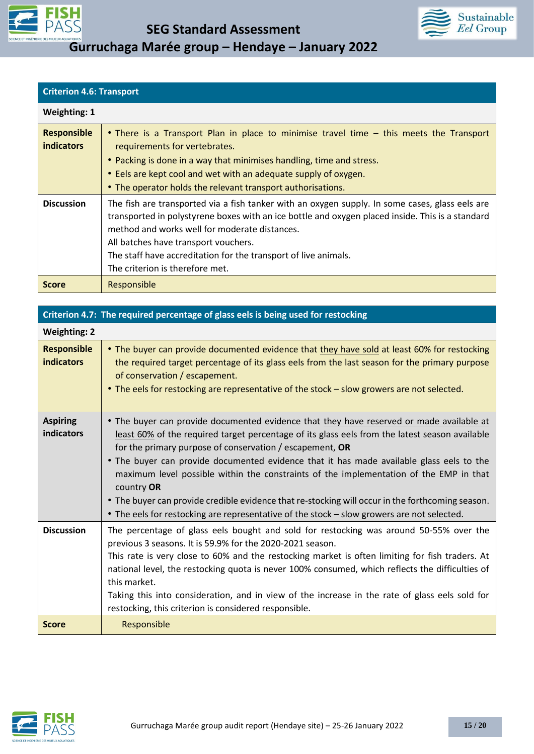



| <b>Criterion 4.6: Transport</b> |  |
|---------------------------------|--|
|---------------------------------|--|

| <b>Weighting: 1</b>                     |                                                                                                                                                                                                                                                                                                                                                                                                    |
|-----------------------------------------|----------------------------------------------------------------------------------------------------------------------------------------------------------------------------------------------------------------------------------------------------------------------------------------------------------------------------------------------------------------------------------------------------|
| <b>Responsible</b><br><b>indicators</b> | • There is a Transport Plan in place to minimise travel time – this meets the Transport<br>requirements for vertebrates.<br>• Packing is done in a way that minimises handling, time and stress.<br>• Eels are kept cool and wet with an adequate supply of oxygen.<br>• The operator holds the relevant transport authorisations.                                                                 |
| <b>Discussion</b>                       | The fish are transported via a fish tanker with an oxygen supply. In some cases, glass eels are<br>transported in polystyrene boxes with an ice bottle and oxygen placed inside. This is a standard<br>method and works well for moderate distances.<br>All batches have transport vouchers.<br>The staff have accreditation for the transport of live animals.<br>The criterion is therefore met. |
| <b>Score</b>                            | Responsible                                                                                                                                                                                                                                                                                                                                                                                        |

| Criterion 4.7: The required percentage of glass eels is being used for restocking |                                                                                                                                                                                                                                                                                                                                                                                                                                                                                                                                                                                                                                                                |
|-----------------------------------------------------------------------------------|----------------------------------------------------------------------------------------------------------------------------------------------------------------------------------------------------------------------------------------------------------------------------------------------------------------------------------------------------------------------------------------------------------------------------------------------------------------------------------------------------------------------------------------------------------------------------------------------------------------------------------------------------------------|
| <b>Weighting: 2</b>                                                               |                                                                                                                                                                                                                                                                                                                                                                                                                                                                                                                                                                                                                                                                |
| <b>Responsible</b><br>indicators                                                  | • The buyer can provide documented evidence that they have sold at least 60% for restocking<br>the required target percentage of its glass eels from the last season for the primary purpose<br>of conservation / escapement.<br>• The eels for restocking are representative of the stock - slow growers are not selected.                                                                                                                                                                                                                                                                                                                                    |
| <b>Aspiring</b><br>indicators                                                     | • The buyer can provide documented evidence that they have reserved or made available at<br>least 60% of the required target percentage of its glass eels from the latest season available<br>for the primary purpose of conservation / escapement, $OR$<br>. The buyer can provide documented evidence that it has made available glass eels to the<br>maximum level possible within the constraints of the implementation of the EMP in that<br>country OR<br>• The buyer can provide credible evidence that re-stocking will occur in the forthcoming season.<br>• The eels for restocking are representative of the stock - slow growers are not selected. |
| <b>Discussion</b>                                                                 | The percentage of glass eels bought and sold for restocking was around 50-55% over the<br>previous 3 seasons. It is 59.9% for the 2020-2021 season.<br>This rate is very close to 60% and the restocking market is often limiting for fish traders. At<br>national level, the restocking quota is never 100% consumed, which reflects the difficulties of<br>this market.<br>Taking this into consideration, and in view of the increase in the rate of glass eels sold for<br>restocking, this criterion is considered responsible.                                                                                                                           |
| <b>Score</b>                                                                      | Responsible                                                                                                                                                                                                                                                                                                                                                                                                                                                                                                                                                                                                                                                    |

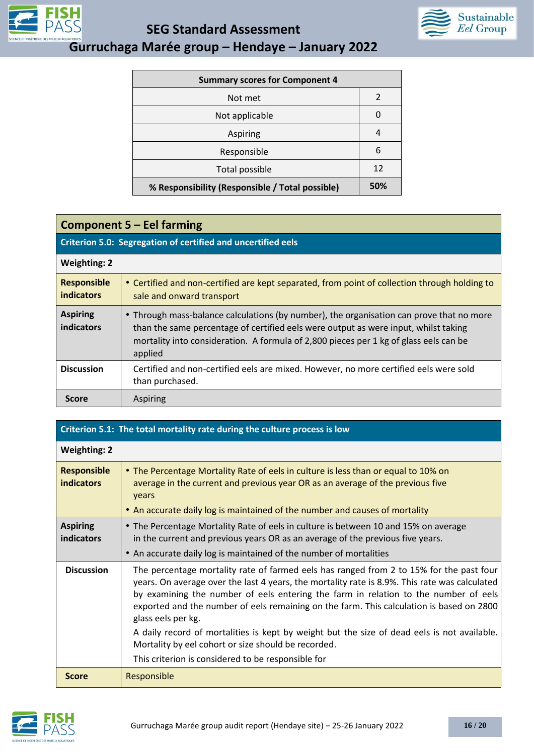

**SEG Standard Assessment** 



**Gurruchaga Marée group – Hendaye – January 2022**

| <b>Summary scores for Component 4</b>           |               |
|-------------------------------------------------|---------------|
| Not met                                         | $\mathfrak z$ |
| Not applicable                                  | 0             |
| Aspiring                                        | 4             |
| Responsible                                     | 6             |
| Total possible                                  | 12            |
| % Responsibility (Responsible / Total possible) | 50%           |

### **Component 5 – Eel farming**

### **Criterion 5.0: Segregation of certified and uncertified eels**

| <b>Weighting: 2</b>                     |                                                                                                                                                                                                                                                                                     |
|-----------------------------------------|-------------------------------------------------------------------------------------------------------------------------------------------------------------------------------------------------------------------------------------------------------------------------------------|
| <b>Responsible</b><br><b>indicators</b> | • Certified and non-certified are kept separated, from point of collection through holding to<br>sale and onward transport                                                                                                                                                          |
| <b>Aspiring</b><br>indicators           | • Through mass-balance calculations (by number), the organisation can prove that no more<br>than the same percentage of certified eels were output as were input, whilst taking<br>mortality into consideration. A formula of 2,800 pieces per 1 kg of glass eels can be<br>applied |
| <b>Discussion</b>                       | Certified and non-certified eels are mixed. However, no more certified eels were sold<br>than purchased.                                                                                                                                                                            |
| <b>Score</b>                            | Aspiring                                                                                                                                                                                                                                                                            |

| Criterion 5.1: The total mortality rate during the culture process is low |                                                                                                                                                                                                                                                                                                                                                                                                                                                                                                                                                                                                               |
|---------------------------------------------------------------------------|---------------------------------------------------------------------------------------------------------------------------------------------------------------------------------------------------------------------------------------------------------------------------------------------------------------------------------------------------------------------------------------------------------------------------------------------------------------------------------------------------------------------------------------------------------------------------------------------------------------|
| <b>Weighting: 2</b>                                                       |                                                                                                                                                                                                                                                                                                                                                                                                                                                                                                                                                                                                               |
| <b>Responsible</b><br><b>indicators</b>                                   | • The Percentage Mortality Rate of eels in culture is less than or equal to 10% on<br>average in the current and previous year OR as an average of the previous five<br>years<br>• An accurate daily log is maintained of the number and causes of mortality                                                                                                                                                                                                                                                                                                                                                  |
| <b>Aspiring</b><br>indicators                                             | • The Percentage Mortality Rate of eels in culture is between 10 and 15% on average<br>in the current and previous years OR as an average of the previous five years.<br>• An accurate daily log is maintained of the number of mortalities                                                                                                                                                                                                                                                                                                                                                                   |
| <b>Discussion</b>                                                         | The percentage mortality rate of farmed eels has ranged from 2 to 15% for the past four<br>years. On average over the last 4 years, the mortality rate is 8.9%. This rate was calculated<br>by examining the number of eels entering the farm in relation to the number of eels<br>exported and the number of eels remaining on the farm. This calculation is based on 2800<br>glass eels per kg.<br>A daily record of mortalities is kept by weight but the size of dead eels is not available.<br>Mortality by eel cohort or size should be recorded.<br>This criterion is considered to be responsible for |
| <b>Score</b>                                                              | Responsible                                                                                                                                                                                                                                                                                                                                                                                                                                                                                                                                                                                                   |

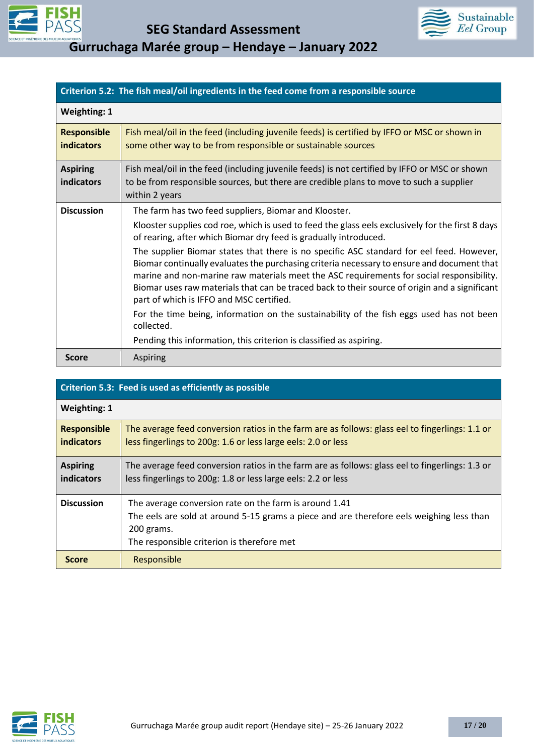



| Criterion 5.2: The fish meal/oil ingredients in the feed come from a responsible source |                                                                                                                                                                                                                                                                                                                                                                                                                                 |
|-----------------------------------------------------------------------------------------|---------------------------------------------------------------------------------------------------------------------------------------------------------------------------------------------------------------------------------------------------------------------------------------------------------------------------------------------------------------------------------------------------------------------------------|
| <b>Weighting: 1</b>                                                                     |                                                                                                                                                                                                                                                                                                                                                                                                                                 |
| <b>Responsible</b><br><b>indicators</b>                                                 | Fish meal/oil in the feed (including juvenile feeds) is certified by IFFO or MSC or shown in<br>some other way to be from responsible or sustainable sources                                                                                                                                                                                                                                                                    |
| <b>Aspiring</b><br>indicators                                                           | Fish meal/oil in the feed (including juvenile feeds) is not certified by IFFO or MSC or shown<br>to be from responsible sources, but there are credible plans to move to such a supplier<br>within 2 years                                                                                                                                                                                                                      |
| <b>Discussion</b>                                                                       | The farm has two feed suppliers, Biomar and Klooster.                                                                                                                                                                                                                                                                                                                                                                           |
|                                                                                         | Klooster supplies cod roe, which is used to feed the glass eels exclusively for the first 8 days<br>of rearing, after which Biomar dry feed is gradually introduced.                                                                                                                                                                                                                                                            |
|                                                                                         | The supplier Biomar states that there is no specific ASC standard for eel feed. However,<br>Biomar continually evaluates the purchasing criteria necessary to ensure and document that<br>marine and non-marine raw materials meet the ASC requirements for social responsibility.<br>Biomar uses raw materials that can be traced back to their source of origin and a significant<br>part of which is IFFO and MSC certified. |
|                                                                                         | For the time being, information on the sustainability of the fish eggs used has not been<br>collected.                                                                                                                                                                                                                                                                                                                          |
|                                                                                         | Pending this information, this criterion is classified as aspiring.                                                                                                                                                                                                                                                                                                                                                             |
| <b>Score</b>                                                                            | <b>Aspiring</b>                                                                                                                                                                                                                                                                                                                                                                                                                 |

| Criterion 5.3: Feed is used as efficiently as possible |                                                                                                                                                                                                                |  |  |  |
|--------------------------------------------------------|----------------------------------------------------------------------------------------------------------------------------------------------------------------------------------------------------------------|--|--|--|
| <b>Weighting: 1</b>                                    |                                                                                                                                                                                                                |  |  |  |
| <b>Responsible</b><br><b>indicators</b>                | The average feed conversion ratios in the farm are as follows: glass eel to fingerlings: 1.1 or<br>less fingerlings to 200g: 1.6 or less large eels: 2.0 or less                                               |  |  |  |
| <b>Aspiring</b><br><b>indicators</b>                   | The average feed conversion ratios in the farm are as follows: glass eel to fingerlings: 1.3 or<br>less fingerlings to 200g: 1.8 or less large eels: 2.2 or less                                               |  |  |  |
| <b>Discussion</b>                                      | The average conversion rate on the farm is around 1.41<br>The eels are sold at around 5-15 grams a piece and are therefore eels weighing less than<br>200 grams.<br>The responsible criterion is therefore met |  |  |  |
| <b>Score</b>                                           | Responsible                                                                                                                                                                                                    |  |  |  |

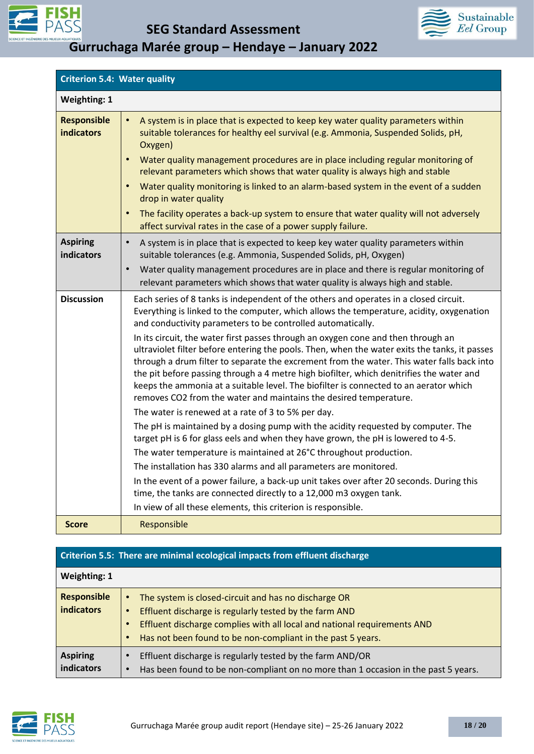



| <b>Criterion 5.4: Water quality</b>     |                                                                                                                                                                                                                                                                                                                                                                                                                                                                                                                                                                                                                                                                                                                                                                                                                                                                                                                                                                                                                                                                                                                                                                                                                                                                                                                                                                                                              |
|-----------------------------------------|--------------------------------------------------------------------------------------------------------------------------------------------------------------------------------------------------------------------------------------------------------------------------------------------------------------------------------------------------------------------------------------------------------------------------------------------------------------------------------------------------------------------------------------------------------------------------------------------------------------------------------------------------------------------------------------------------------------------------------------------------------------------------------------------------------------------------------------------------------------------------------------------------------------------------------------------------------------------------------------------------------------------------------------------------------------------------------------------------------------------------------------------------------------------------------------------------------------------------------------------------------------------------------------------------------------------------------------------------------------------------------------------------------------|
| <b>Weighting: 1</b>                     |                                                                                                                                                                                                                                                                                                                                                                                                                                                                                                                                                                                                                                                                                                                                                                                                                                                                                                                                                                                                                                                                                                                                                                                                                                                                                                                                                                                                              |
| <b>Responsible</b><br><b>indicators</b> | A system is in place that is expected to keep key water quality parameters within<br>$\bullet$<br>suitable tolerances for healthy eel survival (e.g. Ammonia, Suspended Solids, pH,<br>Oxygen)<br>Water quality management procedures are in place including regular monitoring of<br>$\bullet$<br>relevant parameters which shows that water quality is always high and stable<br>Water quality monitoring is linked to an alarm-based system in the event of a sudden<br>$\bullet$                                                                                                                                                                                                                                                                                                                                                                                                                                                                                                                                                                                                                                                                                                                                                                                                                                                                                                                         |
|                                         | drop in water quality<br>The facility operates a back-up system to ensure that water quality will not adversely<br>affect survival rates in the case of a power supply failure.                                                                                                                                                                                                                                                                                                                                                                                                                                                                                                                                                                                                                                                                                                                                                                                                                                                                                                                                                                                                                                                                                                                                                                                                                              |
| <b>Aspiring</b><br>indicators           | A system is in place that is expected to keep key water quality parameters within<br>$\bullet$<br>suitable tolerances (e.g. Ammonia, Suspended Solids, pH, Oxygen)                                                                                                                                                                                                                                                                                                                                                                                                                                                                                                                                                                                                                                                                                                                                                                                                                                                                                                                                                                                                                                                                                                                                                                                                                                           |
|                                         | Water quality management procedures are in place and there is regular monitoring of<br>$\bullet$<br>relevant parameters which shows that water quality is always high and stable.                                                                                                                                                                                                                                                                                                                                                                                                                                                                                                                                                                                                                                                                                                                                                                                                                                                                                                                                                                                                                                                                                                                                                                                                                            |
| <b>Discussion</b>                       | Each series of 8 tanks is independent of the others and operates in a closed circuit.<br>Everything is linked to the computer, which allows the temperature, acidity, oxygenation<br>and conductivity parameters to be controlled automatically.<br>In its circuit, the water first passes through an oxygen cone and then through an<br>ultraviolet filter before entering the pools. Then, when the water exits the tanks, it passes<br>through a drum filter to separate the excrement from the water. This water falls back into<br>the pit before passing through a 4 metre high biofilter, which denitrifies the water and<br>keeps the ammonia at a suitable level. The biofilter is connected to an aerator which<br>removes CO2 from the water and maintains the desired temperature.<br>The water is renewed at a rate of 3 to 5% per day.<br>The pH is maintained by a dosing pump with the acidity requested by computer. The<br>target pH is 6 for glass eels and when they have grown, the pH is lowered to 4-5.<br>The water temperature is maintained at 26°C throughout production.<br>The installation has 330 alarms and all parameters are monitored.<br>In the event of a power failure, a back-up unit takes over after 20 seconds. During this<br>time, the tanks are connected directly to a 12,000 m3 oxygen tank.<br>In view of all these elements, this criterion is responsible. |
| <b>Score</b>                            | Responsible                                                                                                                                                                                                                                                                                                                                                                                                                                                                                                                                                                                                                                                                                                                                                                                                                                                                                                                                                                                                                                                                                                                                                                                                                                                                                                                                                                                                  |

### **Criterion 5.5: There are minimal ecological impacts from effluent discharge**

| <b>Weighting: 1</b>                     |                                                                                                                                                                                                                                                                                     |
|-----------------------------------------|-------------------------------------------------------------------------------------------------------------------------------------------------------------------------------------------------------------------------------------------------------------------------------------|
| <b>Responsible</b><br><b>indicators</b> | The system is closed-circuit and has no discharge OR<br>$\bullet$<br>Effluent discharge is regularly tested by the farm AND<br>Effluent discharge complies with all local and national requirements AND<br>Has not been found to be non-compliant in the past 5 years.<br>$\bullet$ |
| <b>Aspiring</b><br>indicators           | Effluent discharge is regularly tested by the farm AND/OR<br>Has been found to be non-compliant on no more than 1 occasion in the past 5 years.                                                                                                                                     |

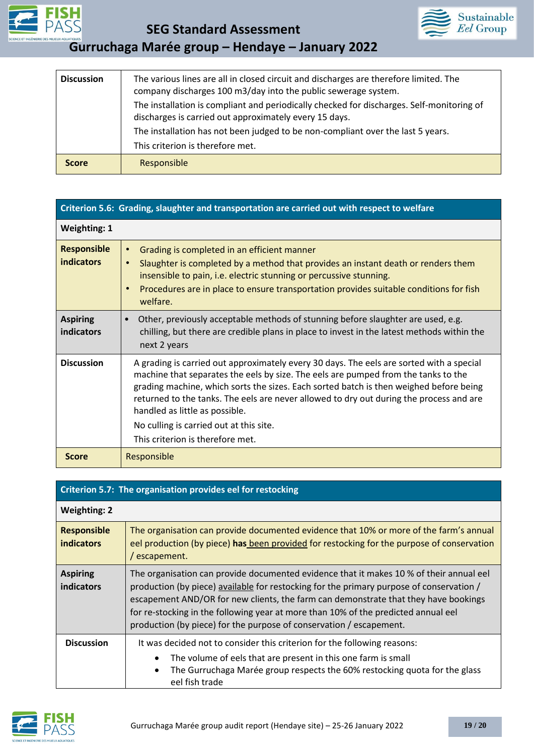

**SEG Standard Assessment** 





| <b>Discussion</b>                                                                                                                                   | The various lines are all in closed circuit and discharges are therefore limited. The<br>company discharges 100 m3/day into the public sewerage system. |  |  |  |  |
|-----------------------------------------------------------------------------------------------------------------------------------------------------|---------------------------------------------------------------------------------------------------------------------------------------------------------|--|--|--|--|
| The installation is compliant and periodically checked for discharges. Self-monitoring of<br>discharges is carried out approximately every 15 days. |                                                                                                                                                         |  |  |  |  |
|                                                                                                                                                     | The installation has not been judged to be non-compliant over the last 5 years.                                                                         |  |  |  |  |
|                                                                                                                                                     | This criterion is therefore met.                                                                                                                        |  |  |  |  |
| <b>Score</b>                                                                                                                                        | Responsible                                                                                                                                             |  |  |  |  |

|                                         | Criterion 5.6: Grading, slaughter and transportation are carried out with respect to welfare                                                                                                                                                                                                                                                                                                                                                                                         |
|-----------------------------------------|--------------------------------------------------------------------------------------------------------------------------------------------------------------------------------------------------------------------------------------------------------------------------------------------------------------------------------------------------------------------------------------------------------------------------------------------------------------------------------------|
| <b>Weighting: 1</b>                     |                                                                                                                                                                                                                                                                                                                                                                                                                                                                                      |
| <b>Responsible</b><br><b>indicators</b> | Grading is completed in an efficient manner<br>$\bullet$<br>Slaughter is completed by a method that provides an instant death or renders them<br>$\bullet$<br>insensible to pain, i.e. electric stunning or percussive stunning.<br>Procedures are in place to ensure transportation provides suitable conditions for fish<br>$\bullet$<br>welfare.                                                                                                                                  |
| <b>Aspiring</b><br>indicators           | Other, previously acceptable methods of stunning before slaughter are used, e.g.<br>chilling, but there are credible plans in place to invest in the latest methods within the<br>next 2 years                                                                                                                                                                                                                                                                                       |
| <b>Discussion</b>                       | A grading is carried out approximately every 30 days. The eels are sorted with a special<br>machine that separates the eels by size. The eels are pumped from the tanks to the<br>grading machine, which sorts the sizes. Each sorted batch is then weighed before being<br>returned to the tanks. The eels are never allowed to dry out during the process and are<br>handled as little as possible.<br>No culling is carried out at this site.<br>This criterion is therefore met. |
| <b>Score</b>                            | Responsible                                                                                                                                                                                                                                                                                                                                                                                                                                                                          |

|                                         | Criterion 5.7: The organisation provides eel for restocking                                                                                                                                                                                                                                                                                                                                                                             |  |  |  |
|-----------------------------------------|-----------------------------------------------------------------------------------------------------------------------------------------------------------------------------------------------------------------------------------------------------------------------------------------------------------------------------------------------------------------------------------------------------------------------------------------|--|--|--|
| <b>Weighting: 2</b>                     |                                                                                                                                                                                                                                                                                                                                                                                                                                         |  |  |  |
| <b>Responsible</b><br><b>indicators</b> | The organisation can provide documented evidence that 10% or more of the farm's annual<br>eel production (by piece) has been provided for restocking for the purpose of conservation<br>/ escapement.                                                                                                                                                                                                                                   |  |  |  |
| <b>Aspiring</b><br>indicators           | The organisation can provide documented evidence that it makes 10 % of their annual eel<br>production (by piece) available for restocking for the primary purpose of conservation /<br>escapement AND/OR for new clients, the farm can demonstrate that they have bookings<br>for re-stocking in the following year at more than 10% of the predicted annual eel<br>production (by piece) for the purpose of conservation / escapement. |  |  |  |
| <b>Discussion</b>                       | It was decided not to consider this criterion for the following reasons:<br>The volume of eels that are present in this one farm is small<br>٠<br>The Gurruchaga Marée group respects the 60% restocking quota for the glass<br>$\bullet$<br>eel fish trade                                                                                                                                                                             |  |  |  |

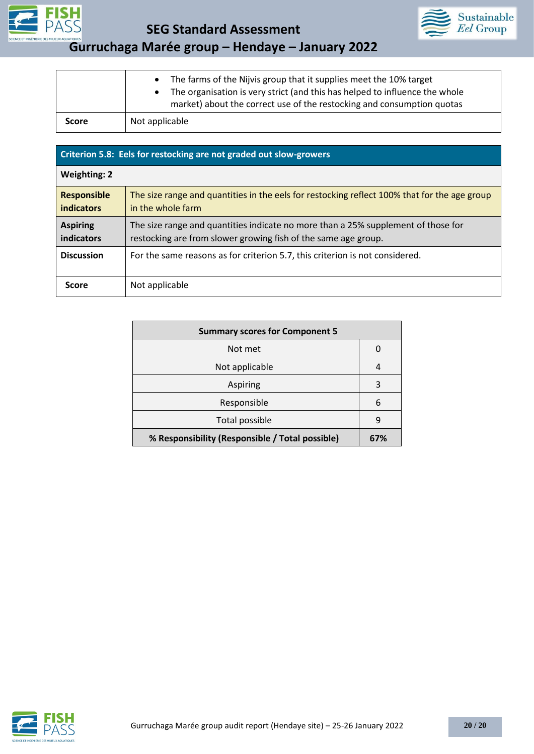



• The farms of the Nijvis group that it supplies meet the 10% target • The organisation is very strict (and this has helped to influence the whole market) about the correct use of the restocking and consumption quotas **Score** Not applicable

| Criterion 5.8: Eels for restocking are not graded out slow-growers |                                                                                                                                                     |  |  |
|--------------------------------------------------------------------|-----------------------------------------------------------------------------------------------------------------------------------------------------|--|--|
| <b>Weighting: 2</b>                                                |                                                                                                                                                     |  |  |
| <b>Responsible</b><br><b>indicators</b>                            | The size range and quantities in the eels for restocking reflect 100% that for the age group<br>in the whole farm                                   |  |  |
| <b>Aspiring</b><br>indicators                                      | The size range and quantities indicate no more than a 25% supplement of those for<br>restocking are from slower growing fish of the same age group. |  |  |
| <b>Discussion</b>                                                  | For the same reasons as for criterion 5.7, this criterion is not considered.                                                                        |  |  |
| <b>Score</b>                                                       | Not applicable                                                                                                                                      |  |  |

| <b>Summary scores for Component 5</b>           |     |  |
|-------------------------------------------------|-----|--|
| Not met                                         | 0   |  |
| Not applicable                                  | 4   |  |
| <b>Aspiring</b>                                 | 3   |  |
| Responsible                                     | 6   |  |
| Total possible                                  | 9   |  |
| % Responsibility (Responsible / Total possible) | 67% |  |

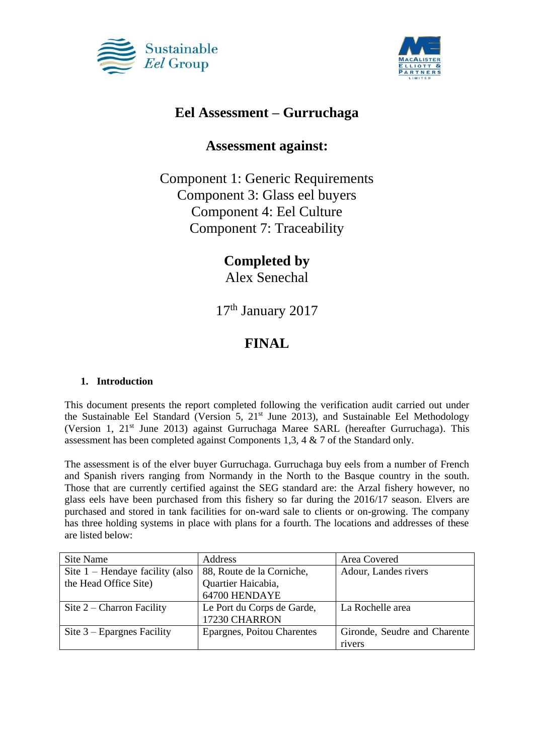



### **Eel Assessment – Gurruchaga**

### **Assessment against:**

Component 1: Generic Requirements Component 3: Glass eel buyers Component 4: Eel Culture Component 7: Traceability

# **Completed by**

Alex Senechal

17<sup>th</sup> January 2017

# **FINAL**

### **1. Introduction**

This document presents the report completed following the verification audit carried out under the Sustainable Eel Standard (Version 5,  $21<sup>st</sup>$  June 2013), and Sustainable Eel Methodology (Version 1, 21<sup>st</sup> June 2013) against Gurruchaga Maree SARL (hereafter Gurruchaga). This assessment has been completed against Components 1,3, 4 & 7 of the Standard only.

The assessment is of the elver buyer Gurruchaga. Gurruchaga buy eels from a number of French and Spanish rivers ranging from Normandy in the North to the Basque country in the south. Those that are currently certified against the SEG standard are: the Arzal fishery however, no glass eels have been purchased from this fishery so far during the 2016/17 season. Elvers are purchased and stored in tank facilities for on-ward sale to clients or on-growing. The company has three holding systems in place with plans for a fourth. The locations and addresses of these are listed below:

| Site Name                         | Address                    | Area Covered                 |
|-----------------------------------|----------------------------|------------------------------|
| Site $1$ – Hendaye facility (also | 88, Route de la Corniche,  | Adour, Landes rivers         |
| the Head Office Site)             | Quartier Haicabia,         |                              |
|                                   | 64700 HENDAYE              |                              |
| Site $2$ – Charron Facility       | Le Port du Corps de Garde, | La Rochelle area             |
|                                   | 17230 CHARRON              |                              |
| Site $3$ – Epargnes Facility      | Epargnes, Poitou Charentes | Gironde, Seudre and Charente |
|                                   |                            | rivers                       |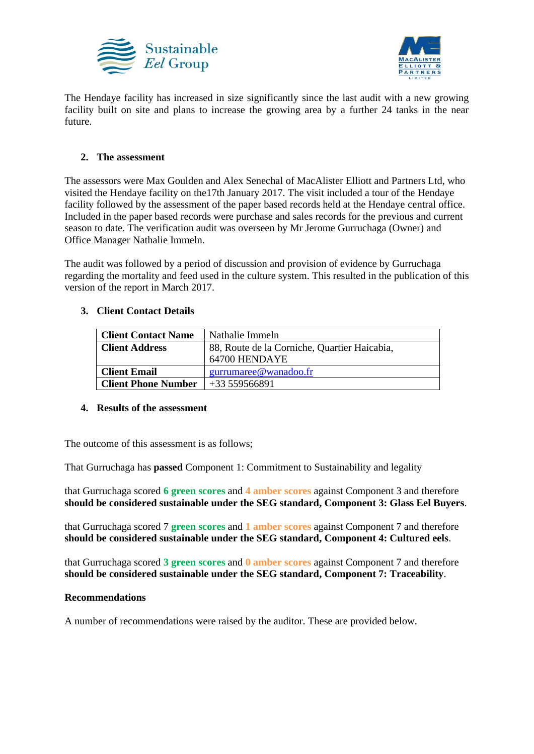



The Hendaye facility has increased in size significantly since the last audit with a new growing facility built on site and plans to increase the growing area by a further 24 tanks in the near future.

### **2. The assessment**

The assessors were Max Goulden and Alex Senechal of MacAlister Elliott and Partners Ltd, who visited the Hendaye facility on the17th January 2017. The visit included a tour of the Hendaye facility followed by the assessment of the paper based records held at the Hendaye central office. Included in the paper based records were purchase and sales records for the previous and current season to date. The verification audit was overseen by Mr Jerome Gurruchaga (Owner) and Office Manager Nathalie Immeln.

The audit was followed by a period of discussion and provision of evidence by Gurruchaga regarding the mortality and feed used in the culture system. This resulted in the publication of this version of the report in March 2017.

### **3. Client Contact Details**

| <b>Client Contact Name</b> | Nathalie Immeln                              |  |
|----------------------------|----------------------------------------------|--|
| <b>Client Address</b>      | 88, Route de la Corniche, Quartier Haicabia, |  |
|                            | 64700 HENDAYE                                |  |
| <b>Client Email</b>        | gurrumaree@wanadoo.fr                        |  |
| <b>Client Phone Number</b> | $+33559566891$                               |  |

### **4. Results of the assessment**

The outcome of this assessment is as follows;

That Gurruchaga has **passed** Component 1: Commitment to Sustainability and legality

that Gurruchaga scored **6 green scores** and **4 amber scores** against Component 3 and therefore **should be considered sustainable under the SEG standard, Component 3: Glass Eel Buyers**.

that Gurruchaga scored 7 **green scores** and **1 amber scores** against Component 7 and therefore **should be considered sustainable under the SEG standard, Component 4: Cultured eels**.

that Gurruchaga scored **3 green scores** and **0 amber scores** against Component 7 and therefore **should be considered sustainable under the SEG standard, Component 7: Traceability**.

### **Recommendations**

A number of recommendations were raised by the auditor. These are provided below.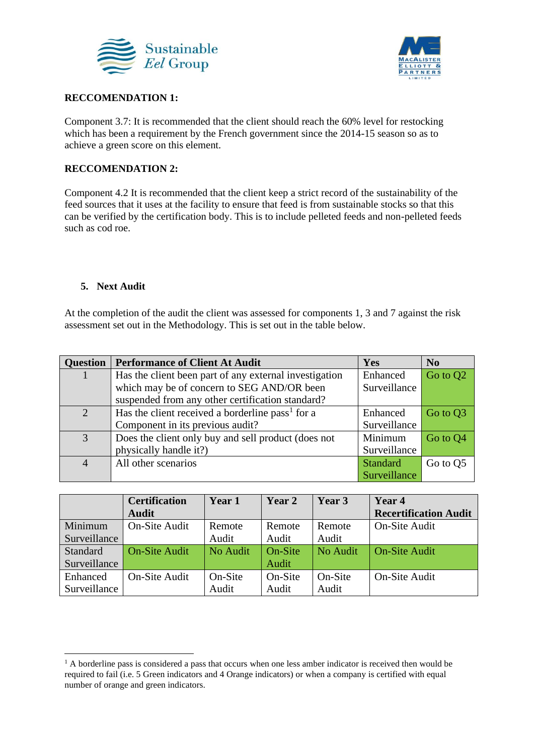



#### **RECCOMENDATION 1:**

Component 3.7: It is recommended that the client should reach the 60% level for restocking which has been a requirement by the French government since the 2014-15 season so as to achieve a green score on this element.

#### **RECCOMENDATION 2:**

Component 4.2 It is recommended that the client keep a strict record of the sustainability of the feed sources that it uses at the facility to ensure that feed is from sustainable stocks so that this can be verified by the certification body. This is to include pelleted feeds and non-pelleted feeds such as cod roe.

#### **5. Next Audit**

At the completion of the audit the client was assessed for components 1, 3 and 7 against the risk assessment set out in the Methodology. This is set out in the table below.

| <b>Question</b> | <b>Performance of Client At Audit</b>                        | Yes             | <b>No</b>            |
|-----------------|--------------------------------------------------------------|-----------------|----------------------|
|                 | Has the client been part of any external investigation       | Enhanced        | Go to Q <sub>2</sub> |
|                 | which may be of concern to SEG AND/OR been                   | Surveillance    |                      |
|                 | suspended from any other certification standard?             |                 |                      |
| $\overline{2}$  | Has the client received a borderline pass <sup>1</sup> for a | Enhanced        | Go to Q3             |
|                 | Component in its previous audit?                             | Surveillance    |                      |
| 3               | Does the client only buy and sell product (does not          | Minimum         | Go to Q4             |
|                 | physically handle it?)                                       | Surveillance    |                      |
| $\overline{4}$  | All other scenarios                                          | <b>Standard</b> | Go to O <sub>5</sub> |
|                 |                                                              | Surveillance    |                      |

|              | <b>Certification</b> | Year 1   | Year 2  | Year 3   | Year 4                       |
|--------------|----------------------|----------|---------|----------|------------------------------|
|              | <b>Audit</b>         |          |         |          | <b>Recertification Audit</b> |
| Minimum      | <b>On-Site Audit</b> | Remote   | Remote  | Remote   | <b>On-Site Audit</b>         |
| Surveillance |                      | Audit    | Audit   | Audit    |                              |
| Standard     | <b>On-Site Audit</b> | No Audit | On-Site | No Audit | <b>On-Site Audit</b>         |
| Surveillance |                      |          | Audit   |          |                              |
| Enhanced     | On-Site Audit        | On-Site  | On-Site | On-Site  | <b>On-Site Audit</b>         |
| Surveillance |                      | Audit    | Audit   | Audit    |                              |

 $<sup>1</sup>$  A borderline pass is considered a pass that occurs when one less amber indicator is received then would be</sup> required to fail (i.e. 5 Green indicators and 4 Orange indicators) or when a company is certified with equal number of orange and green indicators.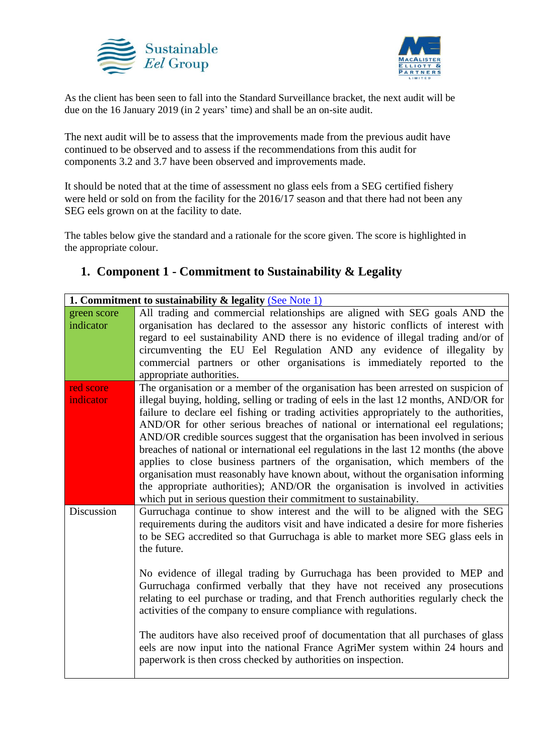



As the client has been seen to fall into the Standard Surveillance bracket, the next audit will be due on the 16 January 2019 (in 2 years' time) and shall be an on-site audit.

The next audit will be to assess that the improvements made from the previous audit have continued to be observed and to assess if the recommendations from this audit for components 3.2 and 3.7 have been observed and improvements made.

It should be noted that at the time of assessment no glass eels from a SEG certified fishery were held or sold on from the facility for the 2016/17 season and that there had not been any SEG eels grown on at the facility to date.

The tables below give the standard and a rationale for the score given. The score is highlighted in the appropriate colour.

### **1. Component 1 - Commitment to Sustainability & Legality**

| 1. Commitment to sustainability $\&$ legality (See Note 1) |                                                                                                                                                   |
|------------------------------------------------------------|---------------------------------------------------------------------------------------------------------------------------------------------------|
| green score                                                | All trading and commercial relationships are aligned with SEG goals AND the                                                                       |
| indicator                                                  | organisation has declared to the assessor any historic conflicts of interest with                                                                 |
|                                                            | regard to eel sustainability AND there is no evidence of illegal trading and/or of                                                                |
|                                                            | circumventing the EU Eel Regulation AND any evidence of illegality by                                                                             |
|                                                            | commercial partners or other organisations is immediately reported to the                                                                         |
|                                                            | appropriate authorities.                                                                                                                          |
| red score                                                  | The organisation or a member of the organisation has been arrested on suspicion of                                                                |
| indicator                                                  | illegal buying, holding, selling or trading of eels in the last 12 months, AND/OR for                                                             |
|                                                            | failure to declare eel fishing or trading activities appropriately to the authorities,                                                            |
|                                                            | AND/OR for other serious breaches of national or international eel regulations;                                                                   |
|                                                            | AND/OR credible sources suggest that the organisation has been involved in serious                                                                |
|                                                            | breaches of national or international eel regulations in the last 12 months (the above                                                            |
|                                                            | applies to close business partners of the organisation, which members of the                                                                      |
|                                                            | organisation must reasonably have known about, without the organisation informing                                                                 |
|                                                            | the appropriate authorities); AND/OR the organisation is involved in activities                                                                   |
| Discussion                                                 | which put in serious question their commitment to sustainability.<br>Gurruchaga continue to show interest and the will to be aligned with the SEG |
|                                                            | requirements during the auditors visit and have indicated a desire for more fisheries                                                             |
|                                                            | to be SEG accredited so that Gurruchaga is able to market more SEG glass eels in                                                                  |
|                                                            | the future.                                                                                                                                       |
|                                                            |                                                                                                                                                   |
|                                                            | No evidence of illegal trading by Gurruchaga has been provided to MEP and                                                                         |
|                                                            | Gurruchaga confirmed verbally that they have not received any prosecutions                                                                        |
|                                                            | relating to eel purchase or trading, and that French authorities regularly check the                                                              |
|                                                            | activities of the company to ensure compliance with regulations.                                                                                  |
|                                                            |                                                                                                                                                   |
|                                                            | The auditors have also received proof of documentation that all purchases of glass                                                                |
|                                                            | eels are now input into the national France AgriMer system within 24 hours and                                                                    |
|                                                            | paperwork is then cross checked by authorities on inspection.                                                                                     |
|                                                            |                                                                                                                                                   |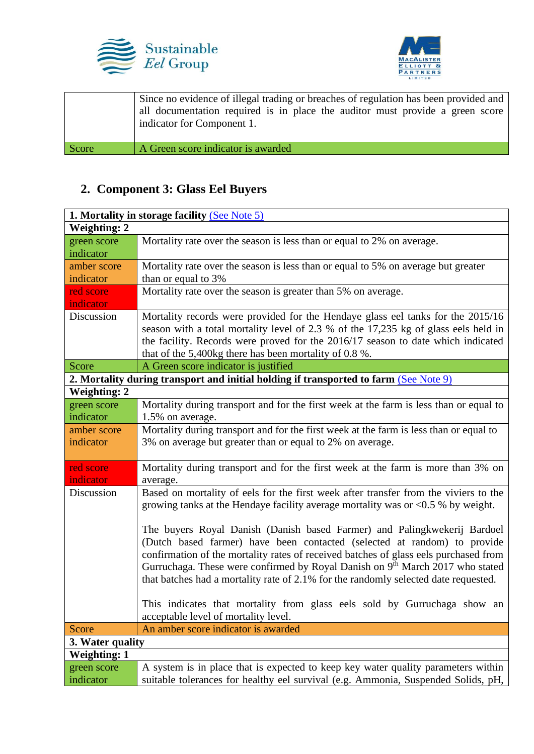



| indicator for Component 1.                  | Since no evidence of illegal trading or breaches of regulation has been provided and<br>all documentation required is in place the auditor must provide a green score |
|---------------------------------------------|-----------------------------------------------------------------------------------------------------------------------------------------------------------------------|
| A Green score indicator is awarded<br>Score |                                                                                                                                                                       |

# **2. Component 3: Glass Eel Buyers**

| 1. Mortality in storage facility (See Note 5) |                                                                                                                                                                                                                                                                                                                                                                                                                      |
|-----------------------------------------------|----------------------------------------------------------------------------------------------------------------------------------------------------------------------------------------------------------------------------------------------------------------------------------------------------------------------------------------------------------------------------------------------------------------------|
| <b>Weighting: 2</b>                           |                                                                                                                                                                                                                                                                                                                                                                                                                      |
| green score<br>indicator                      | Mortality rate over the season is less than or equal to 2% on average.                                                                                                                                                                                                                                                                                                                                               |
| amber score<br>indicator                      | Mortality rate over the season is less than or equal to 5% on average but greater<br>than or equal to 3%                                                                                                                                                                                                                                                                                                             |
|                                               |                                                                                                                                                                                                                                                                                                                                                                                                                      |
| red score<br><i>indicator</i>                 | Mortality rate over the season is greater than 5% on average.                                                                                                                                                                                                                                                                                                                                                        |
| Discussion                                    | Mortality records were provided for the Hendaye glass eel tanks for the 2015/16<br>season with a total mortality level of 2.3 % of the 17,235 kg of glass eels held in<br>the facility. Records were proved for the 2016/17 season to date which indicated<br>that of the 5,400kg there has been mortality of 0.8 %.                                                                                                 |
| Score                                         | A Green score indicator is justified                                                                                                                                                                                                                                                                                                                                                                                 |
|                                               | 2. Mortality during transport and initial holding if transported to farm (See Note 9)                                                                                                                                                                                                                                                                                                                                |
| <b>Weighting: 2</b>                           |                                                                                                                                                                                                                                                                                                                                                                                                                      |
| green score                                   | Mortality during transport and for the first week at the farm is less than or equal to                                                                                                                                                                                                                                                                                                                               |
| indicator                                     | 1.5% on average.                                                                                                                                                                                                                                                                                                                                                                                                     |
| amber score                                   | Mortality during transport and for the first week at the farm is less than or equal to                                                                                                                                                                                                                                                                                                                               |
| indicator                                     | 3% on average but greater than or equal to 2% on average.                                                                                                                                                                                                                                                                                                                                                            |
| red score<br>indicator                        | Mortality during transport and for the first week at the farm is more than 3% on<br>average.                                                                                                                                                                                                                                                                                                                         |
| Discussion                                    | Based on mortality of eels for the first week after transfer from the viviers to the<br>growing tanks at the Hendaye facility average mortality was or $< 0.5$ % by weight.                                                                                                                                                                                                                                          |
|                                               | The buyers Royal Danish (Danish based Farmer) and Palingkwekerij Bardoel<br>(Dutch based farmer) have been contacted (selected at random) to provide<br>confirmation of the mortality rates of received batches of glass eels purchased from<br>Gurruchaga. These were confirmed by Royal Danish on 9th March 2017 who stated<br>that batches had a mortality rate of 2.1% for the randomly selected date requested. |
|                                               | This indicates that mortality from glass eels sold by Gurruchaga show an<br>acceptable level of mortality level.                                                                                                                                                                                                                                                                                                     |
| <b>Score</b>                                  | An amber score indicator is awarded                                                                                                                                                                                                                                                                                                                                                                                  |
| 3. Water quality                              |                                                                                                                                                                                                                                                                                                                                                                                                                      |
| <b>Weighting: 1</b>                           |                                                                                                                                                                                                                                                                                                                                                                                                                      |
| green score                                   | A system is in place that is expected to keep key water quality parameters within                                                                                                                                                                                                                                                                                                                                    |
| indicator                                     | suitable tolerances for healthy eel survival (e.g. Ammonia, Suspended Solids, pH,                                                                                                                                                                                                                                                                                                                                    |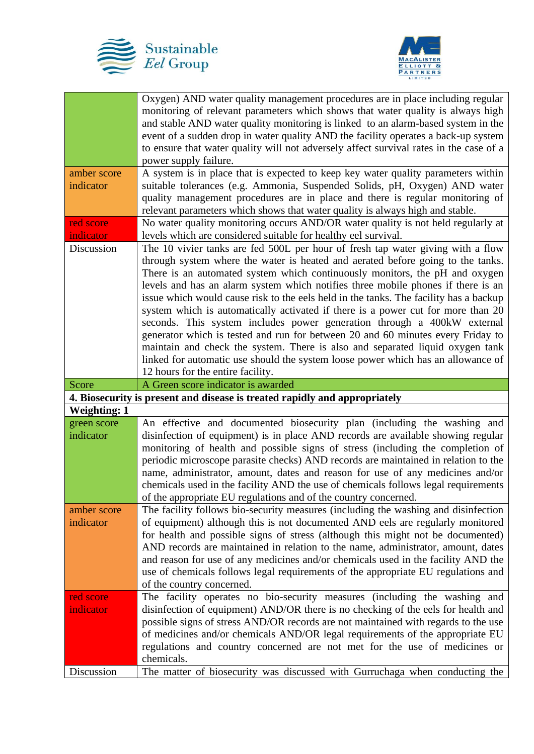



|                     | Oxygen) AND water quality management procedures are in place including regular            |
|---------------------|-------------------------------------------------------------------------------------------|
|                     | monitoring of relevant parameters which shows that water quality is always high           |
|                     | and stable AND water quality monitoring is linked to an alarm-based system in the         |
|                     | event of a sudden drop in water quality AND the facility operates a back-up system        |
|                     | to ensure that water quality will not adversely affect survival rates in the case of a    |
|                     | power supply failure.                                                                     |
| amber score         | A system is in place that is expected to keep key water quality parameters within         |
| indicator           | suitable tolerances (e.g. Ammonia, Suspended Solids, pH, Oxygen) AND water                |
|                     | quality management procedures are in place and there is regular monitoring of             |
|                     | relevant parameters which shows that water quality is always high and stable.             |
| red score           | No water quality monitoring occurs AND/OR water quality is not held regularly at          |
| indicator           | levels which are considered suitable for healthy eel survival.                            |
| Discussion          | The 10 vivier tanks are fed 500L per hour of fresh tap water giving with a flow           |
|                     | through system where the water is heated and aerated before going to the tanks.           |
|                     | There is an automated system which continuously monitors, the pH and oxygen               |
|                     | levels and has an alarm system which notifies three mobile phones if there is an          |
|                     | issue which would cause risk to the eels held in the tanks. The facility has a backup     |
|                     | system which is automatically activated if there is a power cut for more than 20          |
|                     | seconds. This system includes power generation through a 400kW external                   |
|                     | generator which is tested and run for between 20 and 60 minutes every Friday to           |
|                     | maintain and check the system. There is also and separated liquid oxygen tank             |
|                     | linked for automatic use should the system loose power which has an allowance of          |
|                     | 12 hours for the entire facility.                                                         |
| Score               |                                                                                           |
|                     |                                                                                           |
|                     | A Green score indicator is awarded                                                        |
| <b>Weighting: 1</b> | 4. Biosecurity is present and disease is treated rapidly and appropriately                |
| green score         | An effective and documented biosecurity plan (including the washing and                   |
| indicator           |                                                                                           |
|                     | disinfection of equipment) is in place AND records are available showing regular          |
|                     | monitoring of health and possible signs of stress (including the completion of            |
|                     | periodic microscope parasite checks) AND records are maintained in relation to the        |
|                     | name, administrator, amount, dates and reason for use of any medicines and/or             |
|                     | chemicals used in the facility AND the use of chemicals follows legal requirements        |
|                     | of the appropriate EU regulations and of the country concerned.                           |
| amber score         | The facility follows bio-security measures (including the washing and disinfection        |
| indicator           | of equipment) although this is not documented AND eels are regularly monitored            |
|                     | for health and possible signs of stress (although this might not be documented)           |
|                     | AND records are maintained in relation to the name, administrator, amount, dates          |
|                     | and reason for use of any medicines and/or chemicals used in the facility AND the         |
|                     | use of chemicals follows legal requirements of the appropriate EU regulations and         |
|                     | of the country concerned.                                                                 |
| red score           | The facility operates no bio-security measures (including the washing and                 |
| indicator           | disinfection of equipment) AND/OR there is no checking of the eels for health and         |
|                     | possible signs of stress AND/OR records are not maintained with regards to the use        |
|                     | of medicines and/or chemicals AND/OR legal requirements of the appropriate EU             |
|                     | regulations and country concerned are not met for the use of medicines or                 |
| Discussion          | chemicals.<br>The matter of biosecurity was discussed with Gurruchaga when conducting the |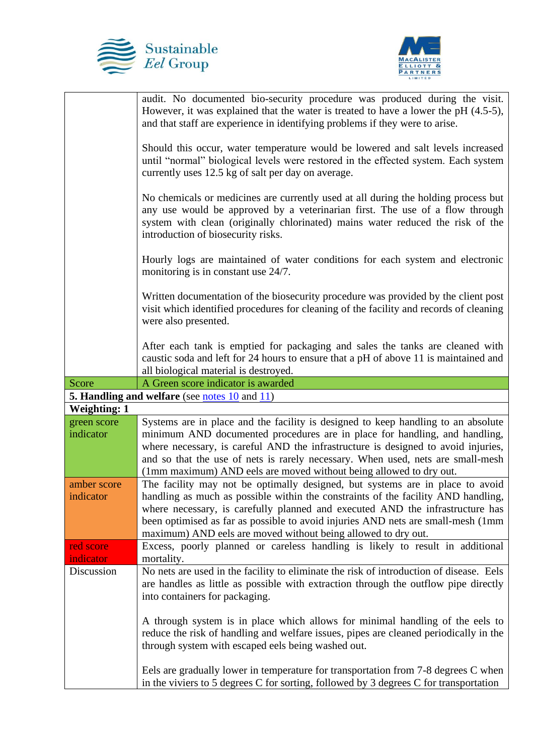



|                          | audit. No documented bio-security procedure was produced during the visit.<br>However, it was explained that the water is treated to have a lower the pH $(4.5-5)$ ,<br>and that staff are experience in identifying problems if they were to arise.<br>Should this occur, water temperature would be lowered and salt levels increased<br>until "normal" biological levels were restored in the effected system. Each system<br>currently uses 12.5 kg of salt per day on average.<br>No chemicals or medicines are currently used at all during the holding process but<br>any use would be approved by a veterinarian first. The use of a flow through<br>system with clean (originally chlorinated) mains water reduced the risk of the<br>introduction of biosecurity risks.<br>Hourly logs are maintained of water conditions for each system and electronic<br>monitoring is in constant use 24/7.<br>Written documentation of the biosecurity procedure was provided by the client post<br>visit which identified procedures for cleaning of the facility and records of cleaning<br>were also presented. |
|--------------------------|-------------------------------------------------------------------------------------------------------------------------------------------------------------------------------------------------------------------------------------------------------------------------------------------------------------------------------------------------------------------------------------------------------------------------------------------------------------------------------------------------------------------------------------------------------------------------------------------------------------------------------------------------------------------------------------------------------------------------------------------------------------------------------------------------------------------------------------------------------------------------------------------------------------------------------------------------------------------------------------------------------------------------------------------------------------------------------------------------------------------|
|                          | After each tank is emptied for packaging and sales the tanks are cleaned with<br>caustic soda and left for 24 hours to ensure that a pH of above 11 is maintained and<br>all biological material is destroyed.                                                                                                                                                                                                                                                                                                                                                                                                                                                                                                                                                                                                                                                                                                                                                                                                                                                                                                    |
| Score                    | A Green score indicator is awarded                                                                                                                                                                                                                                                                                                                                                                                                                                                                                                                                                                                                                                                                                                                                                                                                                                                                                                                                                                                                                                                                                |
|                          | <b>5. Handling and welfare</b> (see notes 10 and 11)                                                                                                                                                                                                                                                                                                                                                                                                                                                                                                                                                                                                                                                                                                                                                                                                                                                                                                                                                                                                                                                              |
| <b>Weighting: 1</b>      |                                                                                                                                                                                                                                                                                                                                                                                                                                                                                                                                                                                                                                                                                                                                                                                                                                                                                                                                                                                                                                                                                                                   |
| green score<br>indicator | Systems are in place and the facility is designed to keep handling to an absolute<br>minimum AND documented procedures are in place for handling, and handling,<br>where necessary, is careful AND the infrastructure is designed to avoid injuries,<br>and so that the use of nets is rarely necessary. When used, nets are small-mesh<br>(1mm maximum) AND eels are moved without being allowed to dry out.                                                                                                                                                                                                                                                                                                                                                                                                                                                                                                                                                                                                                                                                                                     |
| amber score<br>indicator | The facility may not be optimally designed, but systems are in place to avoid<br>handling as much as possible within the constraints of the facility AND handling,<br>where necessary, is carefully planned and executed AND the infrastructure has<br>been optimised as far as possible to avoid injuries AND nets are small-mesh (1mm<br>maximum) AND eels are moved without being allowed to dry out.                                                                                                                                                                                                                                                                                                                                                                                                                                                                                                                                                                                                                                                                                                          |
| red score                | Excess, poorly planned or careless handling is likely to result in additional                                                                                                                                                                                                                                                                                                                                                                                                                                                                                                                                                                                                                                                                                                                                                                                                                                                                                                                                                                                                                                     |
| indicator                | mortality.                                                                                                                                                                                                                                                                                                                                                                                                                                                                                                                                                                                                                                                                                                                                                                                                                                                                                                                                                                                                                                                                                                        |
| Discussion               | No nets are used in the facility to eliminate the risk of introduction of disease. Eels<br>are handles as little as possible with extraction through the outflow pipe directly<br>into containers for packaging.                                                                                                                                                                                                                                                                                                                                                                                                                                                                                                                                                                                                                                                                                                                                                                                                                                                                                                  |
|                          | A through system is in place which allows for minimal handling of the eels to<br>reduce the risk of handling and welfare issues, pipes are cleaned periodically in the<br>through system with escaped eels being washed out.                                                                                                                                                                                                                                                                                                                                                                                                                                                                                                                                                                                                                                                                                                                                                                                                                                                                                      |
|                          | Eels are gradually lower in temperature for transportation from 7-8 degrees C when<br>in the viviers to 5 degrees C for sorting, followed by 3 degrees C for transportation                                                                                                                                                                                                                                                                                                                                                                                                                                                                                                                                                                                                                                                                                                                                                                                                                                                                                                                                       |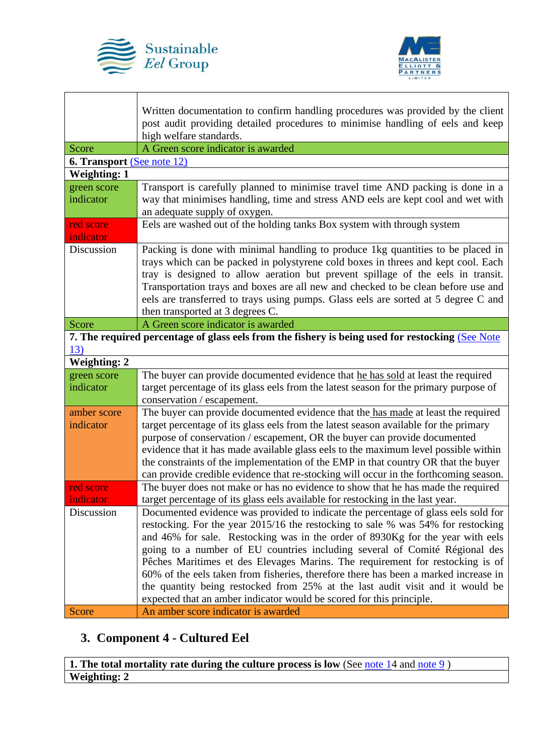

 $\mathbf{I}$ 

Г



|                                   | Written documentation to confirm handling procedures was provided by the client<br>post audit providing detailed procedures to minimise handling of eels and keep<br>high welfare standards. |
|-----------------------------------|----------------------------------------------------------------------------------------------------------------------------------------------------------------------------------------------|
| Score                             | A Green score indicator is awarded                                                                                                                                                           |
| <b>6. Transport</b> (See note 12) |                                                                                                                                                                                              |
| <b>Weighting: 1</b>               |                                                                                                                                                                                              |
| green score                       | Transport is carefully planned to minimise travel time AND packing is done in a                                                                                                              |
| indicator                         | way that minimises handling, time and stress AND eels are kept cool and wet with                                                                                                             |
|                                   | an adequate supply of oxygen.                                                                                                                                                                |
| red score                         | Eels are washed out of the holding tanks Box system with through system                                                                                                                      |
| indicator                         |                                                                                                                                                                                              |
| Discussion                        | Packing is done with minimal handling to produce 1kg quantities to be placed in                                                                                                              |
|                                   | trays which can be packed in polystyrene cold boxes in threes and kept cool. Each                                                                                                            |
|                                   | tray is designed to allow aeration but prevent spillage of the eels in transit.                                                                                                              |
|                                   | Transportation trays and boxes are all new and checked to be clean before use and                                                                                                            |
|                                   | eels are transferred to trays using pumps. Glass eels are sorted at 5 degree C and                                                                                                           |
|                                   | then transported at 3 degrees C.                                                                                                                                                             |
| Score                             | A Green score indicator is awarded                                                                                                                                                           |
|                                   | 7. The required percentage of glass eels from the fishery is being used for restocking (See Note                                                                                             |
| 13)                               |                                                                                                                                                                                              |
| <b>Weighting: 2</b>               |                                                                                                                                                                                              |
| green score                       | The buyer can provide documented evidence that he has sold at least the required                                                                                                             |
| indicator                         | target percentage of its glass eels from the latest season for the primary purpose of                                                                                                        |
|                                   | conservation / escapement.                                                                                                                                                                   |
| amber score                       | The buyer can provide documented evidence that the has made at least the required                                                                                                            |
| indicator                         | target percentage of its glass eels from the latest season available for the primary                                                                                                         |
|                                   | purpose of conservation / escapement, OR the buyer can provide documented                                                                                                                    |
|                                   | evidence that it has made available glass eels to the maximum level possible within                                                                                                          |
|                                   | the constraints of the implementation of the EMP in that country OR that the buyer                                                                                                           |
|                                   | can provide credible evidence that re-stocking will occur in the forthcoming season.                                                                                                         |
| red score                         | The buyer does not make or has no evidence to show that he has made the required                                                                                                             |
| indicator                         | target percentage of its glass eels available for restocking in the last year.                                                                                                               |
| Discussion                        | Documented evidence was provided to indicate the percentage of glass eels sold for                                                                                                           |
|                                   | restocking. For the year 2015/16 the restocking to sale % was 54% for restocking                                                                                                             |
|                                   | and 46% for sale. Restocking was in the order of 8930Kg for the year with eels                                                                                                               |
|                                   | going to a number of EU countries including several of Comité Régional des                                                                                                                   |
|                                   | Pêches Maritimes et des Elevages Marins. The requirement for restocking is of                                                                                                                |
|                                   | 60% of the eels taken from fisheries, therefore there has been a marked increase in                                                                                                          |
|                                   | the quantity being restocked from 25% at the last audit visit and it would be                                                                                                                |
|                                   | expected that an amber indicator would be scored for this principle.                                                                                                                         |
| Score                             | An amber score indicator is awarded                                                                                                                                                          |

# **3. Component 4 - Cultured Eel**

**1. The total mortality rate during the culture process is low** (See note 14 and note 9) **Weighting: 2**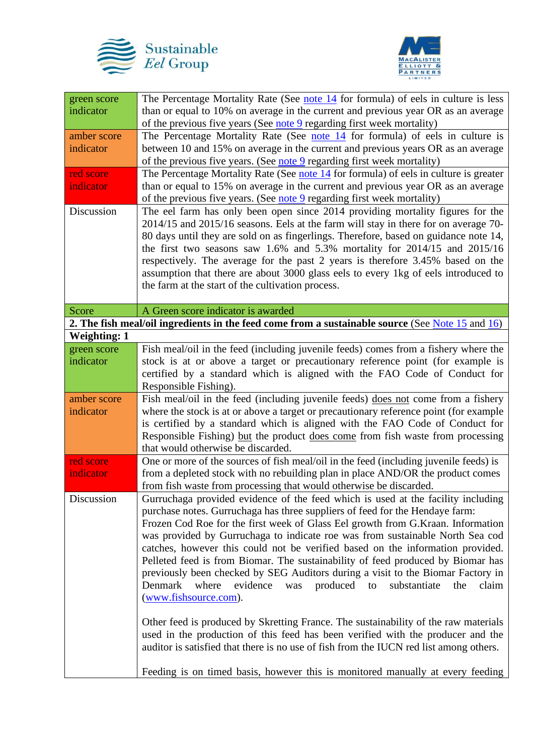



| The Percentage Mortality Rate (See note $14$ for formula) of eels in culture is less<br>green score<br>than or equal to 10% on average in the current and previous year OR as an average<br>indicator |  |
|-------------------------------------------------------------------------------------------------------------------------------------------------------------------------------------------------------|--|
|                                                                                                                                                                                                       |  |
| of the previous five years (See note 9 regarding first week mortality)                                                                                                                                |  |
| The Percentage Mortality Rate (See note 14 for formula) of eels in culture is<br>amber score                                                                                                          |  |
| between 10 and 15% on average in the current and previous years OR as an average<br>indicator                                                                                                         |  |
| of the previous five years. (See note 9 regarding first week mortality)                                                                                                                               |  |
| red score<br>The Percentage Mortality Rate (See note $14$ for formula) of eels in culture is greater                                                                                                  |  |
| than or equal to 15% on average in the current and previous year OR as an average<br>indicator                                                                                                        |  |
| of the previous five years. (See <u>note 9</u> regarding first week mortality)                                                                                                                        |  |
| The eel farm has only been open since 2014 providing mortality figures for the<br>Discussion                                                                                                          |  |
| 2014/15 and 2015/16 seasons. Eels at the farm will stay in there for on average 70-                                                                                                                   |  |
|                                                                                                                                                                                                       |  |
| 80 days until they are sold on as fingerlings. Therefore, based on guidance note 14,                                                                                                                  |  |
| the first two seasons saw $1.6\%$ and $5.3\%$ mortality for 2014/15 and 2015/16                                                                                                                       |  |
| respectively. The average for the past 2 years is therefore 3.45% based on the                                                                                                                        |  |
| assumption that there are about 3000 glass eels to every 1kg of eels introduced to                                                                                                                    |  |
| the farm at the start of the cultivation process.                                                                                                                                                     |  |
|                                                                                                                                                                                                       |  |
| A Green score indicator is awarded<br>Score                                                                                                                                                           |  |
| 2. The fish meal/oil ingredients in the feed come from a sustainable source (See Note $15$ and $16$ )                                                                                                 |  |
| <b>Weighting: 1</b>                                                                                                                                                                                   |  |
| Fish meal/oil in the feed (including juvenile feeds) comes from a fishery where the<br>green score                                                                                                    |  |
| stock is at or above a target or precautionary reference point (for example is<br>indicator                                                                                                           |  |
| certified by a standard which is aligned with the FAO Code of Conduct for                                                                                                                             |  |
| Responsible Fishing).                                                                                                                                                                                 |  |
| Fish meal/oil in the feed (including juvenile feeds) does not come from a fishery<br>amber score                                                                                                      |  |
| indicator<br>where the stock is at or above a target or precautionary reference point (for example                                                                                                    |  |
| is certified by a standard which is aligned with the FAO Code of Conduct for                                                                                                                          |  |
| Responsible Fishing) but the product does come from fish waste from processing                                                                                                                        |  |
| that would otherwise be discarded.                                                                                                                                                                    |  |
| One or more of the sources of fish meal/oil in the feed (including juvenile feeds) is<br>red score                                                                                                    |  |
| from a depleted stock with no rebuilding plan in place AND/OR the product comes<br>indicator                                                                                                          |  |
| from fish waste from processing that would otherwise be discarded.                                                                                                                                    |  |
| Gurruchaga provided evidence of the feed which is used at the facility including<br>Discussion                                                                                                        |  |
| purchase notes. Gurruchaga has three suppliers of feed for the Hendaye farm:                                                                                                                          |  |
| Frozen Cod Roe for the first week of Glass Eel growth from G.Kraan. Information                                                                                                                       |  |
| was provided by Gurruchaga to indicate roe was from sustainable North Sea cod                                                                                                                         |  |
| catches, however this could not be verified based on the information provided.                                                                                                                        |  |
| Pelleted feed is from Biomar. The sustainability of feed produced by Biomar has                                                                                                                       |  |
| previously been checked by SEG Auditors during a visit to the Biomar Factory in                                                                                                                       |  |
| produced to<br>Denmark<br>where<br>evidence<br>was<br>substantiate<br>the<br>claim                                                                                                                    |  |
| (www.fishsource.com).                                                                                                                                                                                 |  |
|                                                                                                                                                                                                       |  |
| Other feed is produced by Skretting France. The sustainability of the raw materials                                                                                                                   |  |
|                                                                                                                                                                                                       |  |
| used in the production of this feed has been verified with the producer and the                                                                                                                       |  |
| auditor is satisfied that there is no use of fish from the IUCN red list among others.                                                                                                                |  |
| Feeding is on timed basis, however this is monitored manually at every feeding                                                                                                                        |  |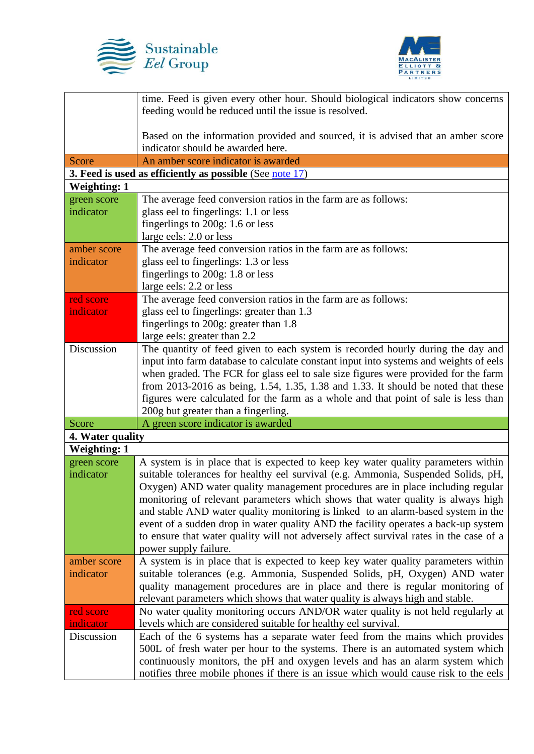



|                          | time. Feed is given every other hour. Should biological indicators show concerns                                                                                       |
|--------------------------|------------------------------------------------------------------------------------------------------------------------------------------------------------------------|
|                          | feeding would be reduced until the issue is resolved.                                                                                                                  |
|                          |                                                                                                                                                                        |
|                          | Based on the information provided and sourced, it is advised that an amber score<br>indicator should be awarded here.                                                  |
| <b>Score</b>             | An amber score indicator is awarded                                                                                                                                    |
|                          | 3. Feed is used as efficiently as possible (See note $17$ )                                                                                                            |
| <b>Weighting: 1</b>      |                                                                                                                                                                        |
| green score              | The average feed conversion ratios in the farm are as follows:                                                                                                         |
| indicator                | glass eel to fingerlings: 1.1 or less                                                                                                                                  |
|                          | fingerlings to 200g: 1.6 or less                                                                                                                                       |
|                          | large eels: 2.0 or less                                                                                                                                                |
| amber score              | The average feed conversion ratios in the farm are as follows:                                                                                                         |
| indicator                | glass eel to fingerlings: 1.3 or less                                                                                                                                  |
|                          | fingerlings to 200g: 1.8 or less                                                                                                                                       |
|                          | large eels: 2.2 or less                                                                                                                                                |
| red score<br>indicator   | The average feed conversion ratios in the farm are as follows:<br>glass eel to fingerlings: greater than 1.3                                                           |
|                          | fingerlings to 200g: greater than 1.8                                                                                                                                  |
|                          | large eels: greater than 2.2                                                                                                                                           |
| Discussion               | The quantity of feed given to each system is recorded hourly during the day and                                                                                        |
|                          | input into farm database to calculate constant input into systems and weights of eels                                                                                  |
|                          | when graded. The FCR for glass eel to sale size figures were provided for the farm                                                                                     |
|                          | from 2013-2016 as being, 1.54, 1.35, 1.38 and 1.33. It should be noted that these                                                                                      |
|                          | figures were calculated for the farm as a whole and that point of sale is less than                                                                                    |
|                          | 200g but greater than a fingerling.                                                                                                                                    |
| Score                    | A green score indicator is awarded                                                                                                                                     |
| 4. Water quality         |                                                                                                                                                                        |
| <b>Weighting: 1</b>      |                                                                                                                                                                        |
| green score<br>indicator | A system is in place that is expected to keep key water quality parameters within<br>suitable tolerances for healthy eel survival (e.g. Ammonia, Suspended Solids, pH, |
|                          | Oxygen) AND water quality management procedures are in place including regular                                                                                         |
|                          | monitoring of relevant parameters which shows that water quality is always high                                                                                        |
|                          | and stable AND water quality monitoring is linked to an alarm-based system in the                                                                                      |
|                          | event of a sudden drop in water quality AND the facility operates a back-up system                                                                                     |
|                          | to ensure that water quality will not adversely affect survival rates in the case of a                                                                                 |
|                          | power supply failure.                                                                                                                                                  |
| amber score              | A system is in place that is expected to keep key water quality parameters within                                                                                      |
| indicator                | suitable tolerances (e.g. Ammonia, Suspended Solids, pH, Oxygen) AND water                                                                                             |
|                          | quality management procedures are in place and there is regular monitoring of                                                                                          |
| red score                | relevant parameters which shows that water quality is always high and stable.<br>No water quality monitoring occurs AND/OR water quality is not held regularly at      |
| indicator                | levels which are considered suitable for healthy eel survival.                                                                                                         |
| Discussion               | Each of the 6 systems has a separate water feed from the mains which provides                                                                                          |
|                          | 500L of fresh water per hour to the systems. There is an automated system which                                                                                        |
|                          | continuously monitors, the pH and oxygen levels and has an alarm system which                                                                                          |
|                          | notifies three mobile phones if there is an issue which would cause risk to the eels                                                                                   |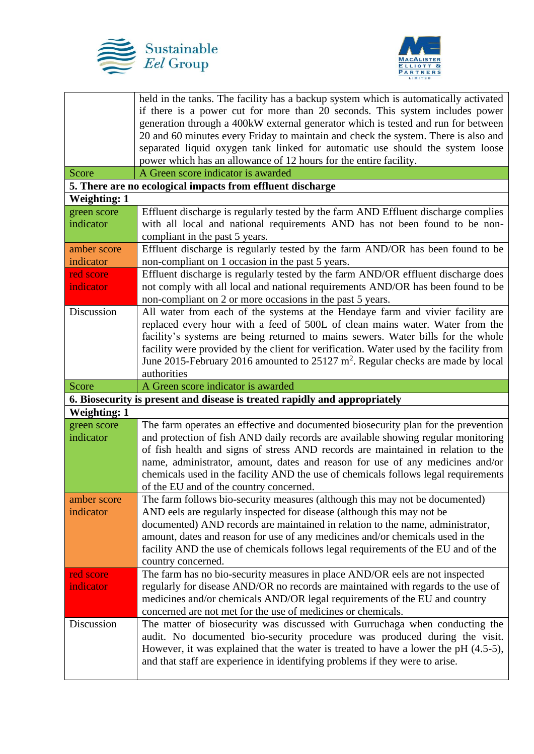



|                     | held in the tanks. The facility has a backup system which is automatically activated                                                                                   |
|---------------------|------------------------------------------------------------------------------------------------------------------------------------------------------------------------|
|                     | if there is a power cut for more than 20 seconds. This system includes power                                                                                           |
|                     | generation through a 400kW external generator which is tested and run for between                                                                                      |
|                     | 20 and 60 minutes every Friday to maintain and check the system. There is also and                                                                                     |
|                     | separated liquid oxygen tank linked for automatic use should the system loose                                                                                          |
|                     | power which has an allowance of 12 hours for the entire facility.                                                                                                      |
| Score               | A Green score indicator is awarded                                                                                                                                     |
|                     | 5. There are no ecological impacts from effluent discharge                                                                                                             |
| <b>Weighting: 1</b> |                                                                                                                                                                        |
| green score         | Effluent discharge is regularly tested by the farm AND Effluent discharge complies                                                                                     |
| indicator           | with all local and national requirements AND has not been found to be non-                                                                                             |
|                     | compliant in the past 5 years.                                                                                                                                         |
| amber score         | Effluent discharge is regularly tested by the farm AND/OR has been found to be                                                                                         |
| indicator           | non-compliant on 1 occasion in the past 5 years.                                                                                                                       |
| red score           | Effluent discharge is regularly tested by the farm AND/OR effluent discharge does                                                                                      |
| indicator           | not comply with all local and national requirements AND/OR has been found to be                                                                                        |
|                     | non-compliant on 2 or more occasions in the past 5 years.                                                                                                              |
| Discussion          | All water from each of the systems at the Hendaye farm and vivier facility are                                                                                         |
|                     | replaced every hour with a feed of 500L of clean mains water. Water from the                                                                                           |
|                     | facility's systems are being returned to mains sewers. Water bills for the whole                                                                                       |
|                     | facility were provided by the client for verification. Water used by the facility from                                                                                 |
|                     | June 2015-February 2016 amounted to $25127 \text{ m}^2$ . Regular checks are made by local                                                                             |
|                     | authorities                                                                                                                                                            |
|                     |                                                                                                                                                                        |
| Score               | A Green score indicator is awarded                                                                                                                                     |
|                     | 6. Biosecurity is present and disease is treated rapidly and appropriately                                                                                             |
| <b>Weighting: 1</b> |                                                                                                                                                                        |
| green score         | The farm operates an effective and documented biosecurity plan for the prevention                                                                                      |
| indicator           | and protection of fish AND daily records are available showing regular monitoring                                                                                      |
|                     | of fish health and signs of stress AND records are maintained in relation to the                                                                                       |
|                     | name, administrator, amount, dates and reason for use of any medicines and/or                                                                                          |
|                     | chemicals used in the facility AND the use of chemicals follows legal requirements                                                                                     |
|                     | of the EU and of the country concerned.                                                                                                                                |
| amber score         | The farm follows bio-security measures (although this may not be documented)                                                                                           |
| indicator           | AND eels are regularly inspected for disease (although this may not be                                                                                                 |
|                     | documented) AND records are maintained in relation to the name, administrator,                                                                                         |
|                     | amount, dates and reason for use of any medicines and/or chemicals used in the                                                                                         |
|                     | facility AND the use of chemicals follows legal requirements of the EU and of the                                                                                      |
|                     | country concerned.                                                                                                                                                     |
| red score           | The farm has no bio-security measures in place AND/OR eels are not inspected                                                                                           |
| indicator           | regularly for disease AND/OR no records are maintained with regards to the use of                                                                                      |
|                     | medicines and/or chemicals AND/OR legal requirements of the EU and country                                                                                             |
|                     | concerned are not met for the use of medicines or chemicals.                                                                                                           |
| Discussion          | The matter of biosecurity was discussed with Gurruchaga when conducting the                                                                                            |
|                     | audit. No documented bio-security procedure was produced during the visit.                                                                                             |
|                     | However, it was explained that the water is treated to have a lower the pH $(4.5-5)$ ,<br>and that staff are experience in identifying problems if they were to arise. |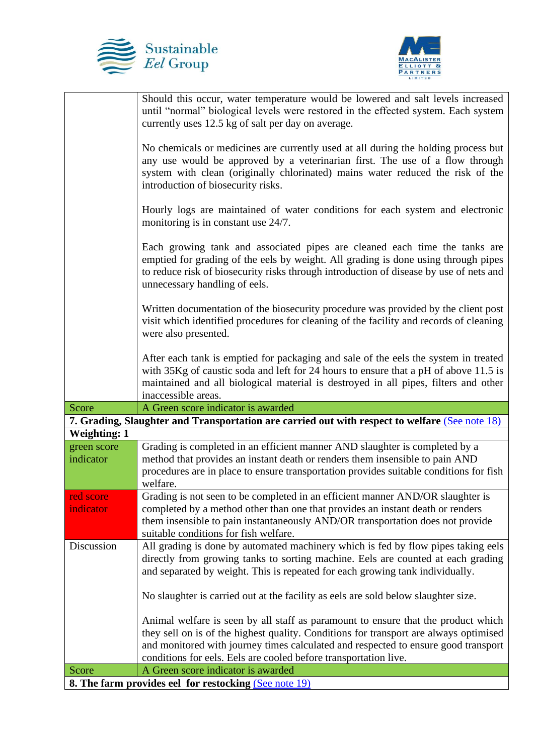



|                     | Should this occur, water temperature would be lowered and salt levels increased<br>until "normal" biological levels were restored in the effected system. Each system<br>currently uses 12.5 kg of salt per day on average.                                                                 |
|---------------------|---------------------------------------------------------------------------------------------------------------------------------------------------------------------------------------------------------------------------------------------------------------------------------------------|
|                     | No chemicals or medicines are currently used at all during the holding process but<br>any use would be approved by a veterinarian first. The use of a flow through<br>system with clean (originally chlorinated) mains water reduced the risk of the<br>introduction of biosecurity risks.  |
|                     | Hourly logs are maintained of water conditions for each system and electronic<br>monitoring is in constant use 24/7.                                                                                                                                                                        |
|                     | Each growing tank and associated pipes are cleaned each time the tanks are<br>emptied for grading of the eels by weight. All grading is done using through pipes<br>to reduce risk of biosecurity risks through introduction of disease by use of nets and<br>unnecessary handling of eels. |
|                     | Written documentation of the biosecurity procedure was provided by the client post<br>visit which identified procedures for cleaning of the facility and records of cleaning<br>were also presented.                                                                                        |
|                     | After each tank is emptied for packaging and sale of the eels the system in treated<br>with 35Kg of caustic soda and left for 24 hours to ensure that a pH of above 11.5 is<br>maintained and all biological material is destroyed in all pipes, filters and other<br>inaccessible areas.   |
| Score               | A Green score indicator is awarded                                                                                                                                                                                                                                                          |
|                     | 7. Grading, Slaughter and Transportation are carried out with respect to welfare (See note 18)                                                                                                                                                                                              |
| <b>Weighting: 1</b> |                                                                                                                                                                                                                                                                                             |
| green score         | Grading is completed in an efficient manner AND slaughter is completed by a                                                                                                                                                                                                                 |
| indicator           | method that provides an instant death or renders them insensible to pain AND                                                                                                                                                                                                                |
|                     | procedures are in place to ensure transportation provides suitable conditions for fish<br>welfare.                                                                                                                                                                                          |
| red score           | Grading is not seen to be completed in an efficient manner AND/OR slaughter is                                                                                                                                                                                                              |
| indicator           | completed by a method other than one that provides an instant death or renders                                                                                                                                                                                                              |
|                     | them insensible to pain instantaneously AND/OR transportation does not provide                                                                                                                                                                                                              |
|                     | suitable conditions for fish welfare.                                                                                                                                                                                                                                                       |
| Discussion          |                                                                                                                                                                                                                                                                                             |
|                     | All grading is done by automated machinery which is fed by flow pipes taking eels<br>directly from growing tanks to sorting machine. Eels are counted at each grading                                                                                                                       |
|                     | and separated by weight. This is repeated for each growing tank individually.                                                                                                                                                                                                               |
|                     | No slaughter is carried out at the facility as eels are sold below slaughter size.                                                                                                                                                                                                          |
|                     | Animal welfare is seen by all staff as paramount to ensure that the product which                                                                                                                                                                                                           |
|                     | they sell on is of the highest quality. Conditions for transport are always optimised                                                                                                                                                                                                       |
|                     | and monitored with journey times calculated and respected to ensure good transport                                                                                                                                                                                                          |
| Score               | conditions for eels. Eels are cooled before transportation live.<br>A Green score indicator is awarded                                                                                                                                                                                      |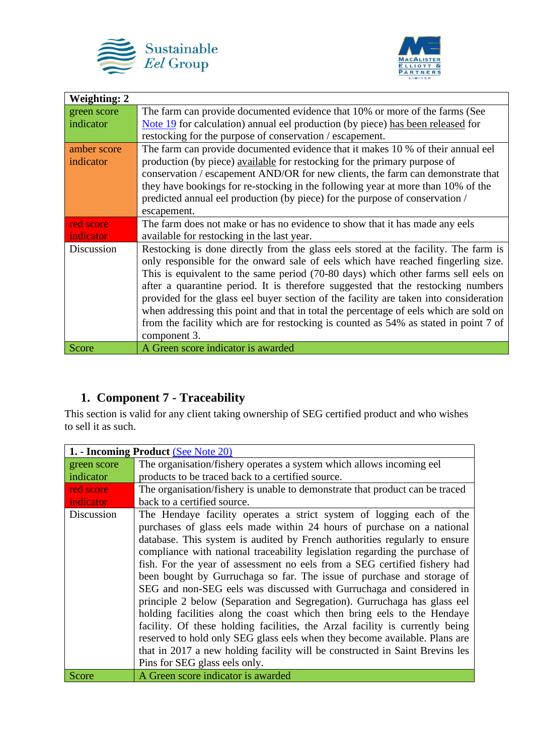



| <b>Weighting: 2</b> |                                                                                       |
|---------------------|---------------------------------------------------------------------------------------|
| green score         | The farm can provide documented evidence that 10% or more of the farms (See           |
| indicator           | Note 19 for calculation) annual eel production (by piece) has been released for       |
|                     | restocking for the purpose of conservation / escapement.                              |
| amber score         | The farm can provide documented evidence that it makes 10 % of their annual eel       |
| indicator           | production (by piece) available for restocking for the primary purpose of             |
|                     | conservation / escapement AND/OR for new clients, the farm can demonstrate that       |
|                     | they have bookings for re-stocking in the following year at more than 10% of the      |
|                     | predicted annual eel production (by piece) for the purpose of conservation /          |
|                     | escapement.                                                                           |
| red score           | The farm does not make or has no evidence to show that it has made any eels           |
| indicator           | available for restocking in the last year.                                            |
| Discussion          | Restocking is done directly from the glass eels stored at the facility. The farm is   |
|                     | only responsible for the onward sale of eels which have reached fingerling size.      |
|                     | This is equivalent to the same period (70-80 days) which other farms sell eels on     |
|                     | after a quarantine period. It is therefore suggested that the restocking numbers      |
|                     | provided for the glass eel buyer section of the facility are taken into consideration |
|                     | when addressing this point and that in total the percentage of eels which are sold on |
|                     | from the facility which are for restocking is counted as 54% as stated in point 7 of  |
|                     | component 3.                                                                          |
| Score               | A Green score indicator is awarded                                                    |

### **1. Component 7 - Traceability**

This section is valid for any client taking ownership of SEG certified product and who wishes to sell it as such.

| 1. - Incoming Product (See Note 20) |                                                                                                                                                                                                                                                                                                                                                                                                                                                                                                                                                                                                                                                                                                                                                                                                                                                                                                                                                                                  |
|-------------------------------------|----------------------------------------------------------------------------------------------------------------------------------------------------------------------------------------------------------------------------------------------------------------------------------------------------------------------------------------------------------------------------------------------------------------------------------------------------------------------------------------------------------------------------------------------------------------------------------------------------------------------------------------------------------------------------------------------------------------------------------------------------------------------------------------------------------------------------------------------------------------------------------------------------------------------------------------------------------------------------------|
| green score                         | The organisation/fishery operates a system which allows incoming eel                                                                                                                                                                                                                                                                                                                                                                                                                                                                                                                                                                                                                                                                                                                                                                                                                                                                                                             |
| indicator                           | products to be traced back to a certified source.                                                                                                                                                                                                                                                                                                                                                                                                                                                                                                                                                                                                                                                                                                                                                                                                                                                                                                                                |
| red score                           | The organisation/fishery is unable to demonstrate that product can be traced                                                                                                                                                                                                                                                                                                                                                                                                                                                                                                                                                                                                                                                                                                                                                                                                                                                                                                     |
| <i>indicator</i>                    | back to a certified source.                                                                                                                                                                                                                                                                                                                                                                                                                                                                                                                                                                                                                                                                                                                                                                                                                                                                                                                                                      |
| Discussion                          | The Hendaye facility operates a strict system of logging each of the<br>purchases of glass eels made within 24 hours of purchase on a national<br>database. This system is audited by French authorities regularly to ensure<br>compliance with national traceability legislation regarding the purchase of<br>fish. For the year of assessment no eels from a SEG certified fishery had<br>been bought by Gurruchaga so far. The issue of purchase and storage of<br>SEG and non-SEG eels was discussed with Gurruchaga and considered in<br>principle 2 below (Separation and Segregation). Gurruchaga has glass eel<br>holding facilities along the coast which then bring eels to the Hendaye<br>facility. Of these holding facilities, the Arzal facility is currently being<br>reserved to hold only SEG glass eels when they become available. Plans are<br>that in 2017 a new holding facility will be constructed in Saint Brevins les<br>Pins for SEG glass eels only. |
| Score                               | A Green score indicator is awarded                                                                                                                                                                                                                                                                                                                                                                                                                                                                                                                                                                                                                                                                                                                                                                                                                                                                                                                                               |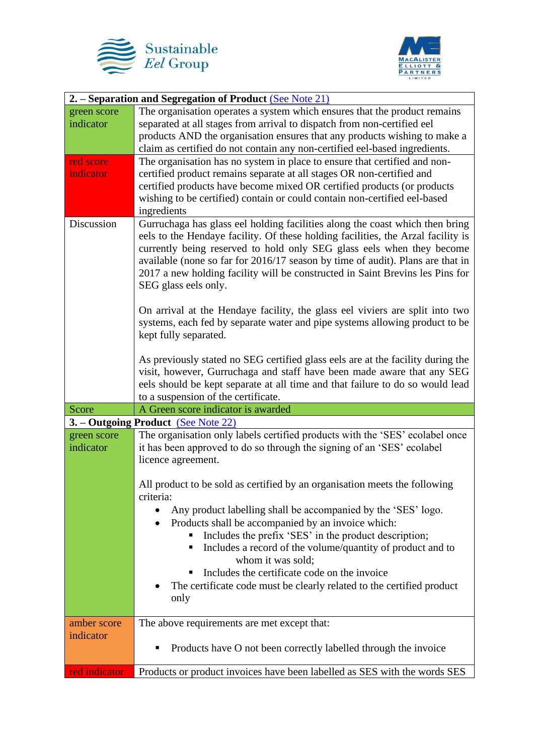



| 2. – Separation and Segregation of Product (See Note 21) |                                                                                  |
|----------------------------------------------------------|----------------------------------------------------------------------------------|
| green score                                              | The organisation operates a system which ensures that the product remains        |
| indicator                                                | separated at all stages from arrival to dispatch from non-certified eel          |
|                                                          | products AND the organisation ensures that any products wishing to make a        |
|                                                          | claim as certified do not contain any non-certified eel-based ingredients.       |
| red score                                                | The organisation has no system in place to ensure that certified and non-        |
| indicator                                                | certified product remains separate at all stages OR non-certified and            |
|                                                          | certified products have become mixed OR certified products (or products          |
|                                                          | wishing to be certified) contain or could contain non-certified eel-based        |
|                                                          | ingredients                                                                      |
| Discussion                                               | Gurruchaga has glass eel holding facilities along the coast which then bring     |
|                                                          | eels to the Hendaye facility. Of these holding facilities, the Arzal facility is |
|                                                          | currently being reserved to hold only SEG glass eels when they become            |
|                                                          | available (none so far for 2016/17 season by time of audit). Plans are that in   |
|                                                          | 2017 a new holding facility will be constructed in Saint Brevins les Pins for    |
|                                                          | SEG glass eels only.                                                             |
|                                                          |                                                                                  |
|                                                          | On arrival at the Hendaye facility, the glass eel viviers are split into two     |
|                                                          | systems, each fed by separate water and pipe systems allowing product to be      |
|                                                          | kept fully separated.                                                            |
|                                                          | As previously stated no SEG certified glass eels are at the facility during the  |
|                                                          | visit, however, Gurruchaga and staff have been made aware that any SEG           |
|                                                          | eels should be kept separate at all time and that failure to do so would lead    |
|                                                          | to a suspension of the certificate.                                              |
| Score                                                    | A Green score indicator is awarded                                               |
| 3. – Outgoing Product (See Note 22)                      |                                                                                  |
| green score                                              | The organisation only labels certified products with the 'SES' ecolabel once     |
| indicator                                                | it has been approved to do so through the signing of an 'SES' ecolabel           |
|                                                          | licence agreement.                                                               |
|                                                          |                                                                                  |
|                                                          | All product to be sold as certified by an organisation meets the following       |
|                                                          | criteria:                                                                        |
|                                                          | Any product labelling shall be accompanied by the 'SES' logo.                    |
|                                                          | Products shall be accompanied by an invoice which:                               |
|                                                          | Includes the prefix 'SES' in the product description;                            |
|                                                          | Includes a record of the volume/quantity of product and to<br>п                  |
|                                                          | whom it was sold;                                                                |
|                                                          | Includes the certificate code on the invoice                                     |
|                                                          | The certificate code must be clearly related to the certified product            |
|                                                          | only                                                                             |
| amber score                                              | The above requirements are met except that:                                      |
| indicator                                                |                                                                                  |
|                                                          | Products have O not been correctly labelled through the invoice                  |
|                                                          |                                                                                  |
| red indicator                                            | Products or product invoices have been labelled as SES with the words SES        |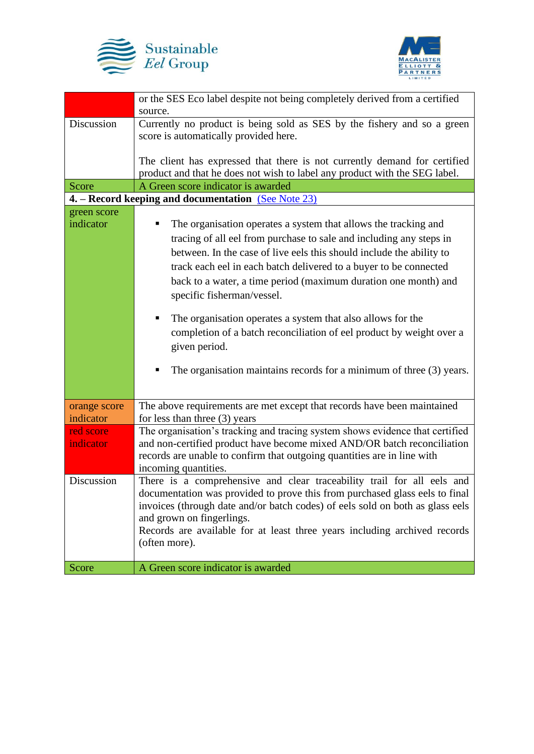



|                                                     | or the SES Eco label despite not being completely derived from a certified<br>source.                           |
|-----------------------------------------------------|-----------------------------------------------------------------------------------------------------------------|
| Discussion                                          | Currently no product is being sold as SES by the fishery and so a green                                         |
|                                                     | score is automatically provided here.                                                                           |
|                                                     |                                                                                                                 |
|                                                     | The client has expressed that there is not currently demand for certified                                       |
|                                                     | product and that he does not wish to label any product with the SEG label.                                      |
| Score                                               | A Green score indicator is awarded                                                                              |
| 4. - Record keeping and documentation (See Note 23) |                                                                                                                 |
| green score                                         |                                                                                                                 |
| indicator                                           | The organisation operates a system that allows the tracking and                                                 |
|                                                     | tracing of all eel from purchase to sale and including any steps in                                             |
|                                                     | between. In the case of live eels this should include the ability to                                            |
|                                                     | track each eel in each batch delivered to a buyer to be connected                                               |
|                                                     | back to a water, a time period (maximum duration one month) and                                                 |
|                                                     | specific fisherman/vessel.                                                                                      |
|                                                     | The organisation operates a system that also allows for the                                                     |
|                                                     | completion of a batch reconciliation of eel product by weight over a                                            |
|                                                     | given period.                                                                                                   |
|                                                     |                                                                                                                 |
|                                                     | The organisation maintains records for a minimum of three (3) years.                                            |
|                                                     |                                                                                                                 |
|                                                     |                                                                                                                 |
| orange score                                        | The above requirements are met except that records have been maintained                                         |
| indicator<br>red score                              | for less than three $(3)$ years<br>The organisation's tracking and tracing system shows evidence that certified |
| indicator                                           | and non-certified product have become mixed AND/OR batch reconciliation                                         |
|                                                     | records are unable to confirm that outgoing quantities are in line with                                         |
|                                                     | incoming quantities.                                                                                            |
| Discussion                                          | There is a comprehensive and clear traceability trail for all eels and                                          |
|                                                     | documentation was provided to prove this from purchased glass eels to final                                     |
|                                                     | invoices (through date and/or batch codes) of eels sold on both as glass eels                                   |
|                                                     | and grown on fingerlings.                                                                                       |
|                                                     | Records are available for at least three years including archived records                                       |
|                                                     | (often more).                                                                                                   |
| Score                                               | A Green score indicator is awarded                                                                              |
|                                                     |                                                                                                                 |